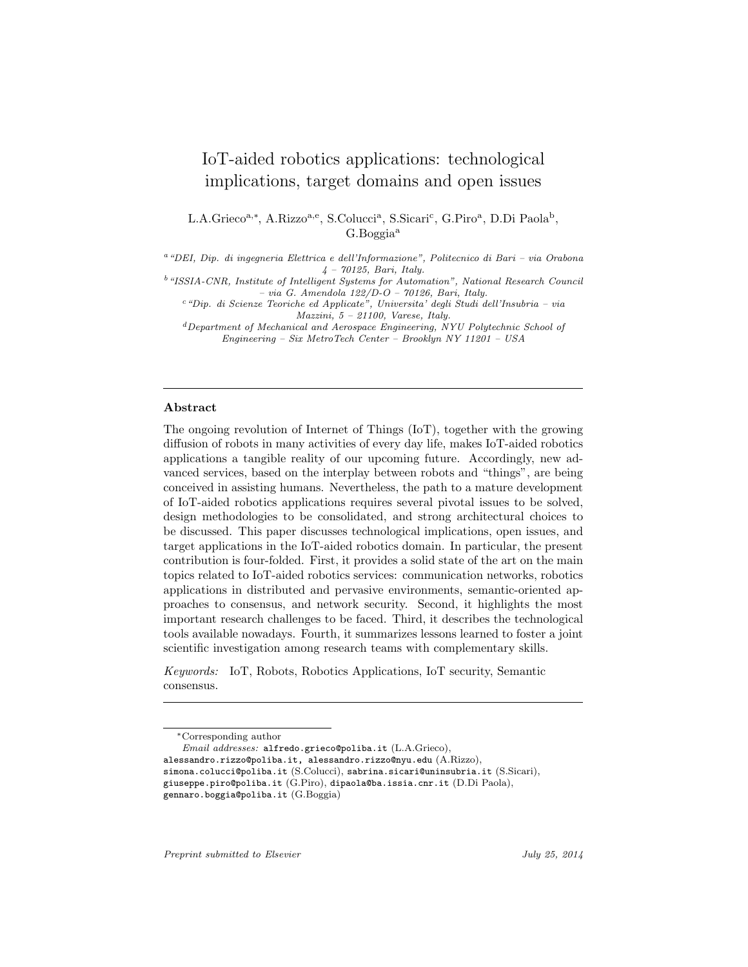## IoT-aided robotics applications: technological implications, target domains and open issues

L.A.Grieco<sup>a,∗</sup>, A.Rizzo<sup>a,e</sup>, S.Colucci<sup>a</sup>, S.Sicari<sup>c</sup>, G.Piro<sup>a</sup>, D.Di Paola<sup>b</sup>, G.Boggia<sup>a</sup>

<sup>a</sup>"DEI, Dip. di ingegneria Elettrica e dell'Informazione", Politecnico di Bari – via Orabona  $4 - 70125$ , Bari, Italy.

<sup>b</sup>"ISSIA-CNR, Institute of Intelligent Systems for Automation", National Research Council – via G. Amendola 122/D-O – 70126, Bari, Italy.

 $c$  "Dip. di Scienze Teoriche ed Applicate", Universita' degli Studi dell'Insubria – via  $Maxzini, 5 - 21100, Varese, Italy.$ 

<sup>d</sup>Department of Mechanical and Aerospace Engineering, NYU Polytechnic School of Engineering – Six MetroTech Center – Brooklyn NY 11201 – USA

## Abstract

The ongoing revolution of Internet of Things (IoT), together with the growing diffusion of robots in many activities of every day life, makes IoT-aided robotics applications a tangible reality of our upcoming future. Accordingly, new advanced services, based on the interplay between robots and "things", are being conceived in assisting humans. Nevertheless, the path to a mature development of IoT-aided robotics applications requires several pivotal issues to be solved, design methodologies to be consolidated, and strong architectural choices to be discussed. This paper discusses technological implications, open issues, and target applications in the IoT-aided robotics domain. In particular, the present contribution is four-folded. First, it provides a solid state of the art on the main topics related to IoT-aided robotics services: communication networks, robotics applications in distributed and pervasive environments, semantic-oriented approaches to consensus, and network security. Second, it highlights the most important research challenges to be faced. Third, it describes the technological tools available nowadays. Fourth, it summarizes lessons learned to foster a joint scientific investigation among research teams with complementary skills.

Keywords: IoT, Robots, Robotics Applications, IoT security, Semantic consensus.

alessandro.rizzo@poliba.it, alessandro.rizzo@nyu.edu (A.Rizzo),

Preprint submitted to Elsevier  $July\ 25, 2014$ 

<sup>∗</sup>Corresponding author

Email addresses: alfredo.grieco@poliba.it (L.A.Grieco),

simona.colucci@poliba.it (S.Colucci), sabrina.sicari@uninsubria.it (S.Sicari), giuseppe.piro@poliba.it (G.Piro), dipaola@ba.issia.cnr.it (D.Di Paola), gennaro.boggia@poliba.it (G.Boggia)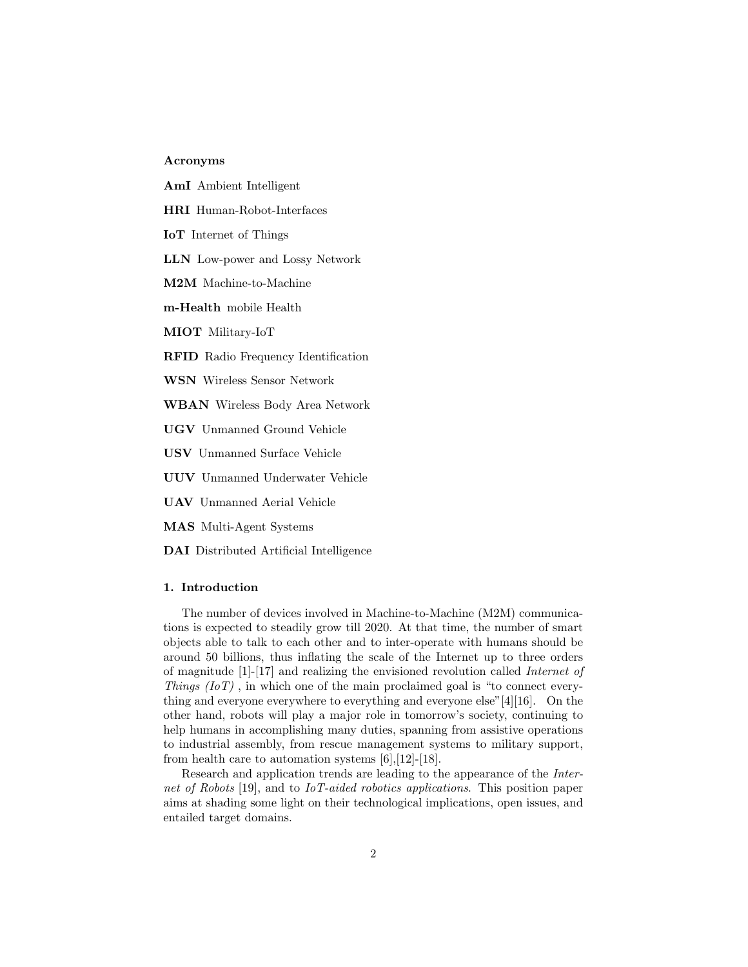## Acronyms

AmI Ambient Intelligent

HRI Human-Robot-Interfaces

IoT Internet of Things

LLN Low-power and Lossy Network

M2M Machine-to-Machine

m-Health mobile Health

MIOT Military-IoT

RFID Radio Frequency Identification

WSN Wireless Sensor Network

WBAN Wireless Body Area Network

UGV Unmanned Ground Vehicle

USV Unmanned Surface Vehicle

UUV Unmanned Underwater Vehicle

UAV Unmanned Aerial Vehicle

MAS Multi-Agent Systems

DAI Distributed Artificial Intelligence

## 1. Introduction

The number of devices involved in Machine-to-Machine (M2M) communications is expected to steadily grow till 2020. At that time, the number of smart objects able to talk to each other and to inter-operate with humans should be around 50 billions, thus inflating the scale of the Internet up to three orders of magnitude [1]-[17] and realizing the envisioned revolution called Internet of Things  $(IoT)$ , in which one of the main proclaimed goal is "to connect everything and everyone everywhere to everything and everyone else"[4][16]. On the other hand, robots will play a major role in tomorrow's society, continuing to help humans in accomplishing many duties, spanning from assistive operations to industrial assembly, from rescue management systems to military support, from health care to automation systems [6],[12]-[18].

Research and application trends are leading to the appearance of the Internet of Robots [19], and to IoT-aided robotics applications. This position paper aims at shading some light on their technological implications, open issues, and entailed target domains.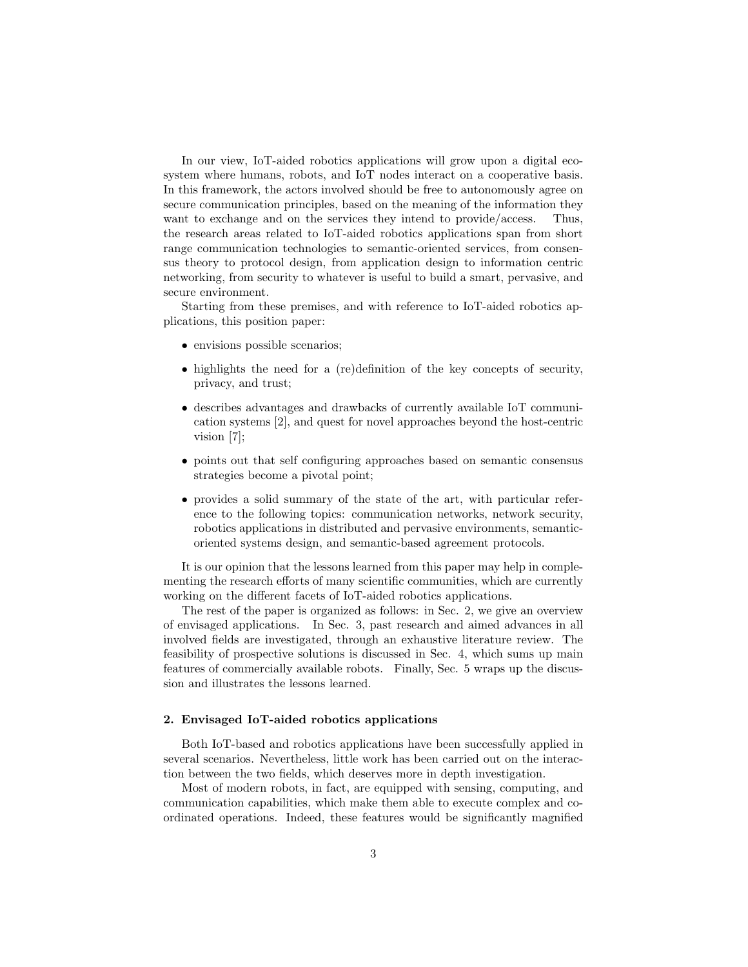In our view, IoT-aided robotics applications will grow upon a digital ecosystem where humans, robots, and IoT nodes interact on a cooperative basis. In this framework, the actors involved should be free to autonomously agree on secure communication principles, based on the meaning of the information they want to exchange and on the services they intend to provide/access. Thus, the research areas related to IoT-aided robotics applications span from short range communication technologies to semantic-oriented services, from consensus theory to protocol design, from application design to information centric networking, from security to whatever is useful to build a smart, pervasive, and secure environment.

Starting from these premises, and with reference to IoT-aided robotics applications, this position paper:

- envisions possible scenarios:
- highlights the need for a (re)definition of the key concepts of security, privacy, and trust;
- describes advantages and drawbacks of currently available IoT communication systems [2], and quest for novel approaches beyond the host-centric vision [7];
- points out that self configuring approaches based on semantic consensus strategies become a pivotal point;
- provides a solid summary of the state of the art, with particular reference to the following topics: communication networks, network security, robotics applications in distributed and pervasive environments, semanticoriented systems design, and semantic-based agreement protocols.

It is our opinion that the lessons learned from this paper may help in complementing the research efforts of many scientific communities, which are currently working on the different facets of IoT-aided robotics applications.

The rest of the paper is organized as follows: in Sec. 2, we give an overview of envisaged applications. In Sec. 3, past research and aimed advances in all involved fields are investigated, through an exhaustive literature review. The feasibility of prospective solutions is discussed in Sec. 4, which sums up main features of commercially available robots. Finally, Sec. 5 wraps up the discussion and illustrates the lessons learned.

## 2. Envisaged IoT-aided robotics applications

Both IoT-based and robotics applications have been successfully applied in several scenarios. Nevertheless, little work has been carried out on the interaction between the two fields, which deserves more in depth investigation.

Most of modern robots, in fact, are equipped with sensing, computing, and communication capabilities, which make them able to execute complex and coordinated operations. Indeed, these features would be significantly magnified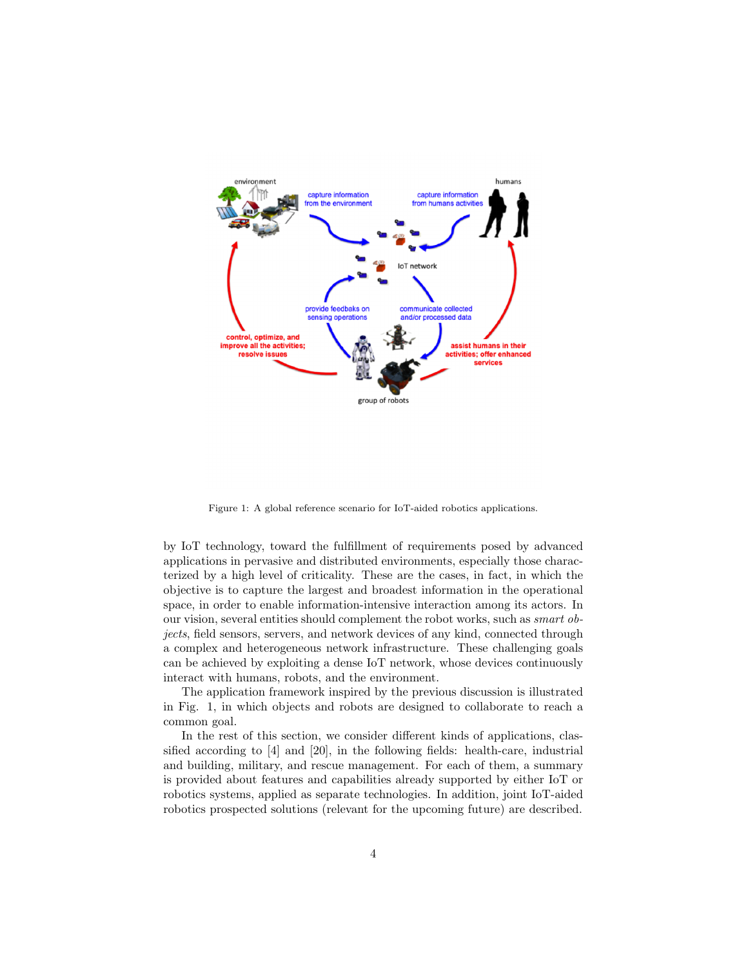

Figure 1: A global reference scenario for IoT-aided robotics applications.

by IoT technology, toward the fulfillment of requirements posed by advanced applications in pervasive and distributed environments, especially those characterized by a high level of criticality. These are the cases, in fact, in which the objective is to capture the largest and broadest information in the operational space, in order to enable information-intensive interaction among its actors. In our vision, several entities should complement the robot works, such as smart objects, field sensors, servers, and network devices of any kind, connected through a complex and heterogeneous network infrastructure. These challenging goals can be achieved by exploiting a dense IoT network, whose devices continuously interact with humans, robots, and the environment.

The application framework inspired by the previous discussion is illustrated in Fig. 1, in which objects and robots are designed to collaborate to reach a common goal.

In the rest of this section, we consider different kinds of applications, classified according to [4] and [20], in the following fields: health-care, industrial and building, military, and rescue management. For each of them, a summary is provided about features and capabilities already supported by either IoT or robotics systems, applied as separate technologies. In addition, joint IoT-aided robotics prospected solutions (relevant for the upcoming future) are described.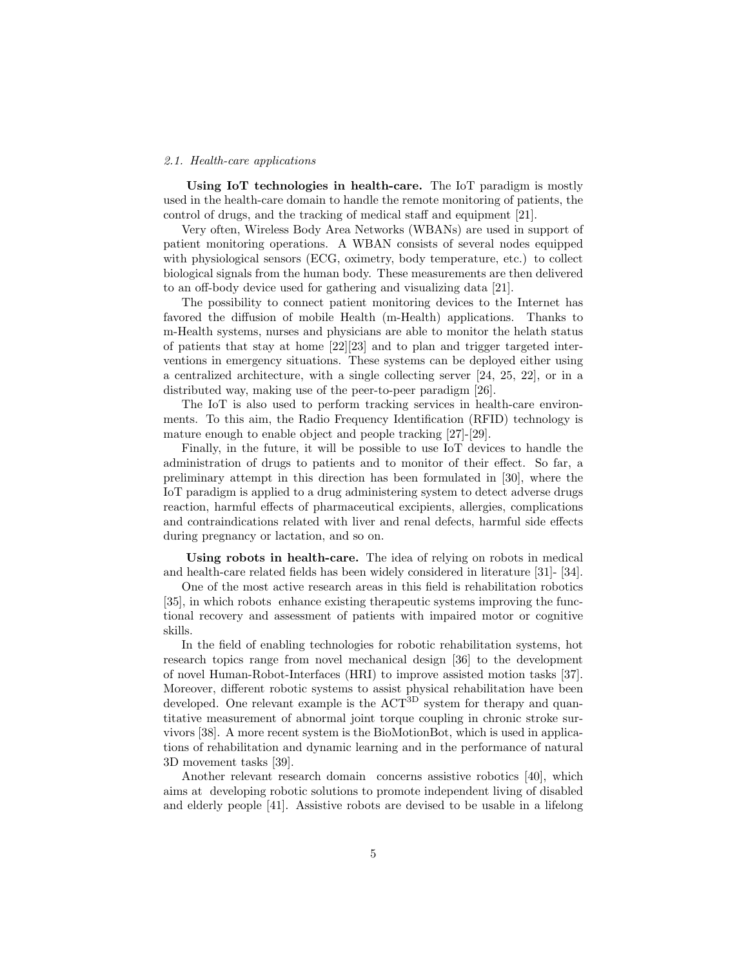## 2.1. Health-care applications

Using IoT technologies in health-care. The IoT paradigm is mostly used in the health-care domain to handle the remote monitoring of patients, the control of drugs, and the tracking of medical staff and equipment [21].

Very often, Wireless Body Area Networks (WBANs) are used in support of patient monitoring operations. A WBAN consists of several nodes equipped with physiological sensors (ECG, oximetry, body temperature, etc.) to collect biological signals from the human body. These measurements are then delivered to an off-body device used for gathering and visualizing data [21].

The possibility to connect patient monitoring devices to the Internet has favored the diffusion of mobile Health (m-Health) applications. Thanks to m-Health systems, nurses and physicians are able to monitor the helath status of patients that stay at home [22][23] and to plan and trigger targeted interventions in emergency situations. These systems can be deployed either using a centralized architecture, with a single collecting server [24, 25, 22], or in a distributed way, making use of the peer-to-peer paradigm [26].

The IoT is also used to perform tracking services in health-care environments. To this aim, the Radio Frequency Identification (RFID) technology is mature enough to enable object and people tracking [27]-[29].

Finally, in the future, it will be possible to use IoT devices to handle the administration of drugs to patients and to monitor of their effect. So far, a preliminary attempt in this direction has been formulated in [30], where the IoT paradigm is applied to a drug administering system to detect adverse drugs reaction, harmful effects of pharmaceutical excipients, allergies, complications and contraindications related with liver and renal defects, harmful side effects during pregnancy or lactation, and so on.

Using robots in health-care. The idea of relying on robots in medical and health-care related fields has been widely considered in literature [31]- [34].

One of the most active research areas in this field is rehabilitation robotics [35], in which robots enhance existing therapeutic systems improving the functional recovery and assessment of patients with impaired motor or cognitive skills.

In the field of enabling technologies for robotic rehabilitation systems, hot research topics range from novel mechanical design [36] to the development of novel Human-Robot-Interfaces (HRI) to improve assisted motion tasks [37]. Moreover, different robotic systems to assist physical rehabilitation have been developed. One relevant example is the ACT<sup>3D</sup> system for therapy and quantitative measurement of abnormal joint torque coupling in chronic stroke survivors [38]. A more recent system is the BioMotionBot, which is used in applications of rehabilitation and dynamic learning and in the performance of natural 3D movement tasks [39].

Another relevant research domain concerns assistive robotics [40], which aims at developing robotic solutions to promote independent living of disabled and elderly people [41]. Assistive robots are devised to be usable in a lifelong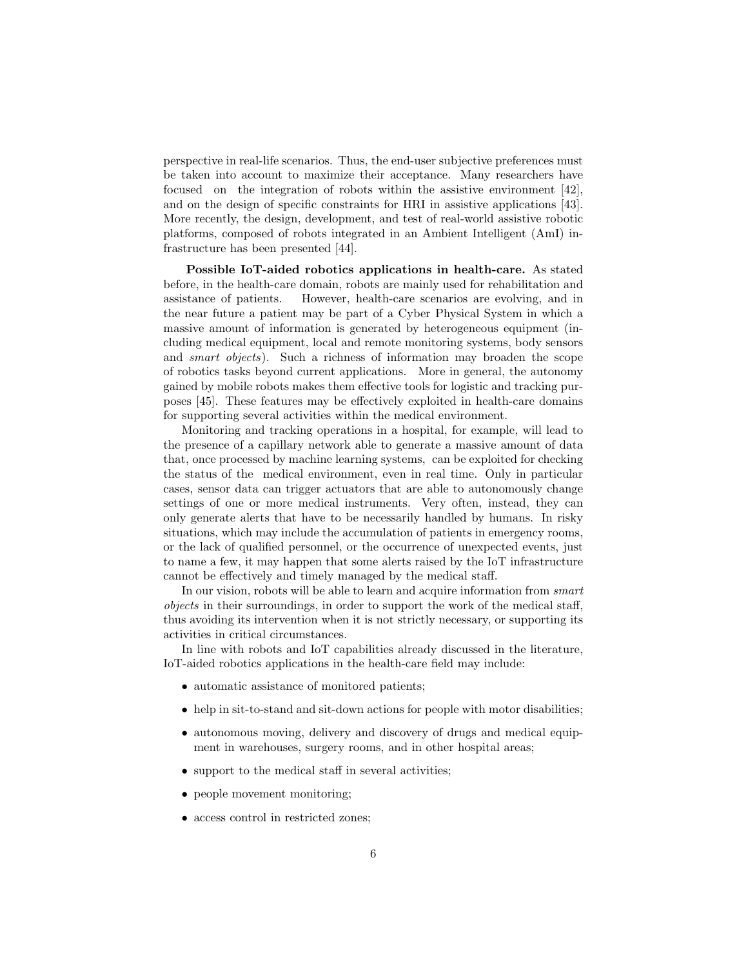perspective in real-life scenarios. Thus, the end-user subjective preferences must be taken into account to maximize their acceptance. Many researchers have focused on the integration of robots within the assistive environment [42], and on the design of specific constraints for HRI in assistive applications [43]. More recently, the design, development, and test of real-world assistive robotic platforms, composed of robots integrated in an Ambient Intelligent (AmI) infrastructure has been presented [44].

Possible IoT-aided robotics applications in health-care. As stated before, in the health-care domain, robots are mainly used for rehabilitation and assistance of patients. However, health-care scenarios are evolving, and in the near future a patient may be part of a Cyber Physical System in which a massive amount of information is generated by heterogeneous equipment (including medical equipment, local and remote monitoring systems, body sensors and *smart objects*). Such a richness of information may broaden the scope of robotics tasks beyond current applications. More in general, the autonomy gained by mobile robots makes them effective tools for logistic and tracking purposes [45]. These features may be effectively exploited in health-care domains for supporting several activities within the medical environment.

Monitoring and tracking operations in a hospital, for example, will lead to the presence of a capillary network able to generate a massive amount of data that, once processed by machine learning systems, can be exploited for checking the status of the medical environment, even in real time. Only in particular cases, sensor data can trigger actuators that are able to autonomously change settings of one or more medical instruments. Very often, instead, they can only generate alerts that have to be necessarily handled by humans. In risky situations, which may include the accumulation of patients in emergency rooms, or the lack of qualified personnel, or the occurrence of unexpected events, just to name a few, it may happen that some alerts raised by the IoT infrastructure cannot be effectively and timely managed by the medical staff.

In our vision, robots will be able to learn and acquire information from smart objects in their surroundings, in order to support the work of the medical staff, thus avoiding its intervention when it is not strictly necessary, or supporting its activities in critical circumstances.

In line with robots and IoT capabilities already discussed in the literature, IoT-aided robotics applications in the health-care field may include:

- automatic assistance of monitored patients;
- help in sit-to-stand and sit-down actions for people with motor disabilities;
- autonomous moving, delivery and discovery of drugs and medical equipment in warehouses, surgery rooms, and in other hospital areas;
- support to the medical staff in several activities;
- people movement monitoring;
- access control in restricted zones;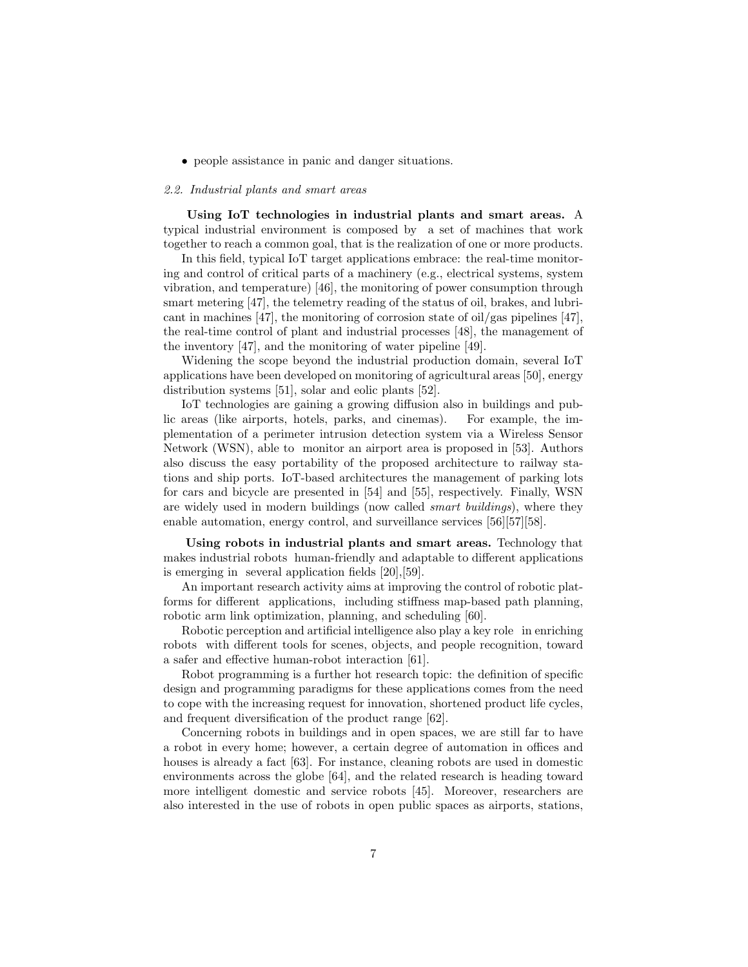• people assistance in panic and danger situations.

## 2.2. Industrial plants and smart areas

Using IoT technologies in industrial plants and smart areas. A typical industrial environment is composed by a set of machines that work together to reach a common goal, that is the realization of one or more products.

In this field, typical IoT target applications embrace: the real-time monitoring and control of critical parts of a machinery (e.g., electrical systems, system vibration, and temperature) [46], the monitoring of power consumption through smart metering [47], the telemetry reading of the status of oil, brakes, and lubricant in machines [47], the monitoring of corrosion state of oil/gas pipelines [47], the real-time control of plant and industrial processes [48], the management of the inventory [47], and the monitoring of water pipeline [49].

Widening the scope beyond the industrial production domain, several IoT applications have been developed on monitoring of agricultural areas [50], energy distribution systems [51], solar and eolic plants [52].

IoT technologies are gaining a growing diffusion also in buildings and public areas (like airports, hotels, parks, and cinemas). For example, the implementation of a perimeter intrusion detection system via a Wireless Sensor Network (WSN), able to monitor an airport area is proposed in [53]. Authors also discuss the easy portability of the proposed architecture to railway stations and ship ports. IoT-based architectures the management of parking lots for cars and bicycle are presented in [54] and [55], respectively. Finally, WSN are widely used in modern buildings (now called smart buildings), where they enable automation, energy control, and surveillance services [56][57][58].

Using robots in industrial plants and smart areas. Technology that makes industrial robots human-friendly and adaptable to different applications is emerging in several application fields [20],[59].

An important research activity aims at improving the control of robotic platforms for different applications, including stiffness map-based path planning, robotic arm link optimization, planning, and scheduling [60].

Robotic perception and artificial intelligence also play a key role in enriching robots with different tools for scenes, objects, and people recognition, toward a safer and effective human-robot interaction [61].

Robot programming is a further hot research topic: the definition of specific design and programming paradigms for these applications comes from the need to cope with the increasing request for innovation, shortened product life cycles, and frequent diversification of the product range [62].

Concerning robots in buildings and in open spaces, we are still far to have a robot in every home; however, a certain degree of automation in offices and houses is already a fact [63]. For instance, cleaning robots are used in domestic environments across the globe [64], and the related research is heading toward more intelligent domestic and service robots [45]. Moreover, researchers are also interested in the use of robots in open public spaces as airports, stations,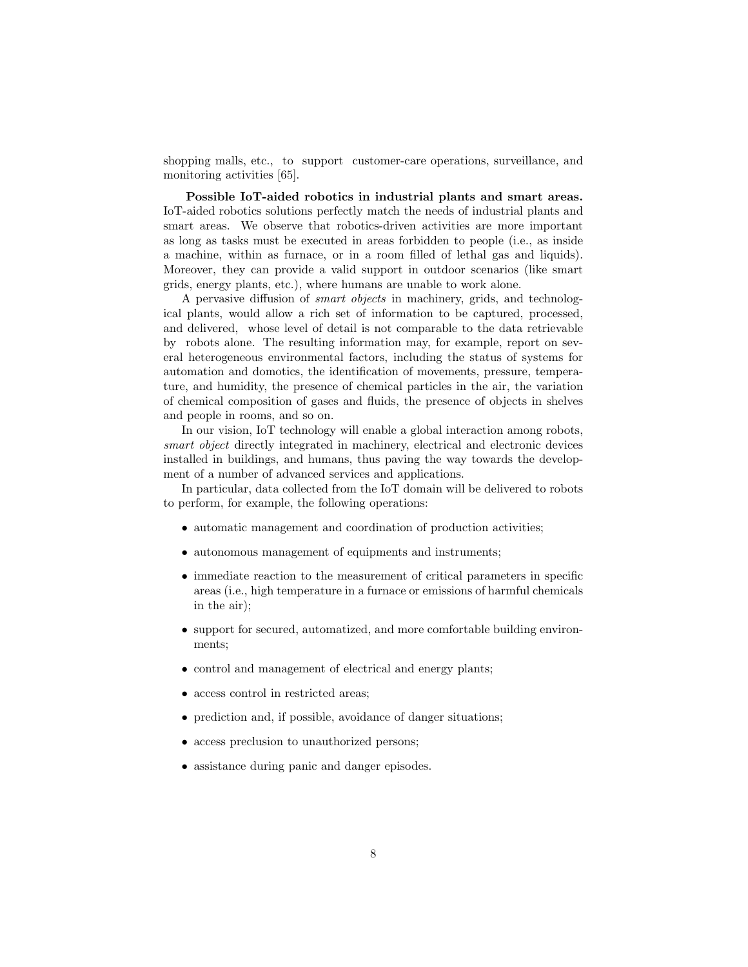shopping malls, etc., to support customer-care operations, surveillance, and monitoring activities [65].

Possible IoT-aided robotics in industrial plants and smart areas. IoT-aided robotics solutions perfectly match the needs of industrial plants and smart areas. We observe that robotics-driven activities are more important as long as tasks must be executed in areas forbidden to people (i.e., as inside a machine, within as furnace, or in a room filled of lethal gas and liquids). Moreover, they can provide a valid support in outdoor scenarios (like smart grids, energy plants, etc.), where humans are unable to work alone.

A pervasive diffusion of smart objects in machinery, grids, and technological plants, would allow a rich set of information to be captured, processed, and delivered, whose level of detail is not comparable to the data retrievable by robots alone. The resulting information may, for example, report on several heterogeneous environmental factors, including the status of systems for automation and domotics, the identification of movements, pressure, temperature, and humidity, the presence of chemical particles in the air, the variation of chemical composition of gases and fluids, the presence of objects in shelves and people in rooms, and so on.

In our vision, IoT technology will enable a global interaction among robots, smart object directly integrated in machinery, electrical and electronic devices installed in buildings, and humans, thus paving the way towards the development of a number of advanced services and applications.

In particular, data collected from the IoT domain will be delivered to robots to perform, for example, the following operations:

- automatic management and coordination of production activities;
- autonomous management of equipments and instruments;
- immediate reaction to the measurement of critical parameters in specific areas (i.e., high temperature in a furnace or emissions of harmful chemicals in the air);
- support for secured, automatized, and more comfortable building environments;
- control and management of electrical and energy plants;
- access control in restricted areas;
- prediction and, if possible, avoidance of danger situations;
- access preclusion to unauthorized persons;
- assistance during panic and danger episodes.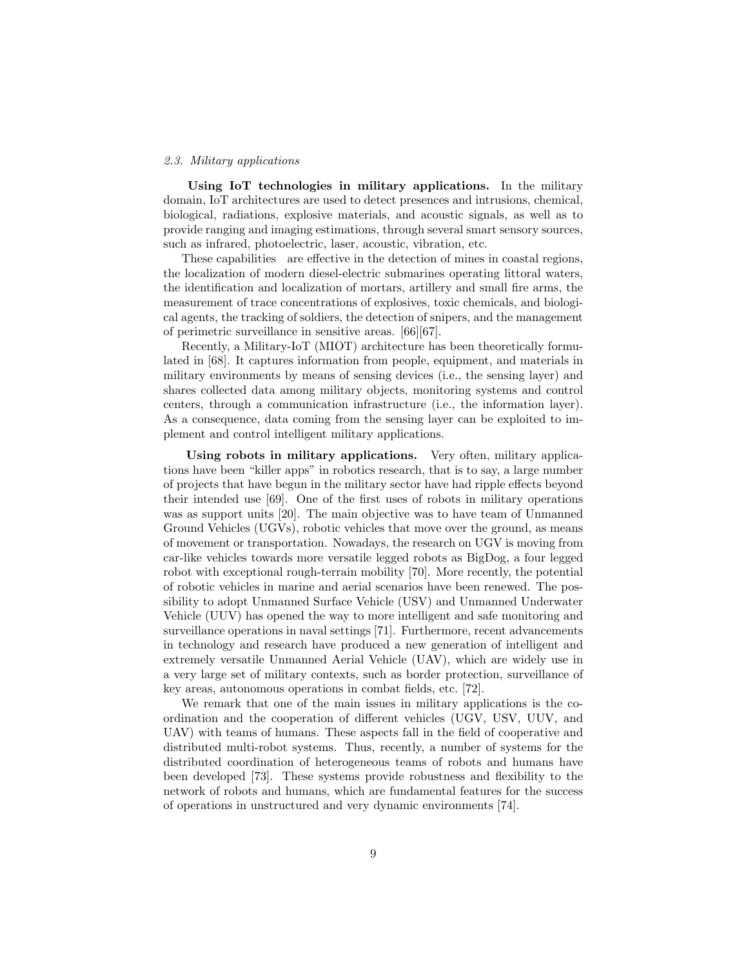## 2.3. Military applications

Using IoT technologies in military applications. In the military domain, IoT architectures are used to detect presences and intrusions, chemical, biological, radiations, explosive materials, and acoustic signals, as well as to provide ranging and imaging estimations, through several smart sensory sources, such as infrared, photoelectric, laser, acoustic, vibration, etc.

These capabilities are effective in the detection of mines in coastal regions, the localization of modern diesel-electric submarines operating littoral waters, the identification and localization of mortars, artillery and small fire arms, the measurement of trace concentrations of explosives, toxic chemicals, and biological agents, the tracking of soldiers, the detection of snipers, and the management of perimetric surveillance in sensitive areas. [66][67].

Recently, a Military-IoT (MIOT) architecture has been theoretically formulated in [68]. It captures information from people, equipment, and materials in military environments by means of sensing devices (i.e., the sensing layer) and shares collected data among military objects, monitoring systems and control centers, through a communication infrastructure (i.e., the information layer). As a consequence, data coming from the sensing layer can be exploited to implement and control intelligent military applications.

Using robots in military applications. Very often, military applications have been "killer apps" in robotics research, that is to say, a large number of projects that have begun in the military sector have had ripple effects beyond their intended use [69]. One of the first uses of robots in military operations was as support units [20]. The main objective was to have team of Unmanned Ground Vehicles (UGVs), robotic vehicles that move over the ground, as means of movement or transportation. Nowadays, the research on UGV is moving from car-like vehicles towards more versatile legged robots as BigDog, a four legged robot with exceptional rough-terrain mobility [70]. More recently, the potential of robotic vehicles in marine and aerial scenarios have been renewed. The possibility to adopt Unmanned Surface Vehicle (USV) and Unmanned Underwater Vehicle (UUV) has opened the way to more intelligent and safe monitoring and surveillance operations in naval settings [71]. Furthermore, recent advancements in technology and research have produced a new generation of intelligent and extremely versatile Unmanned Aerial Vehicle (UAV), which are widely use in a very large set of military contexts, such as border protection, surveillance of key areas, autonomous operations in combat fields, etc. [72].

We remark that one of the main issues in military applications is the coordination and the cooperation of different vehicles (UGV, USV, UUV, and UAV) with teams of humans. These aspects fall in the field of cooperative and distributed multi-robot systems. Thus, recently, a number of systems for the distributed coordination of heterogeneous teams of robots and humans have been developed [73]. These systems provide robustness and flexibility to the network of robots and humans, which are fundamental features for the success of operations in unstructured and very dynamic environments [74].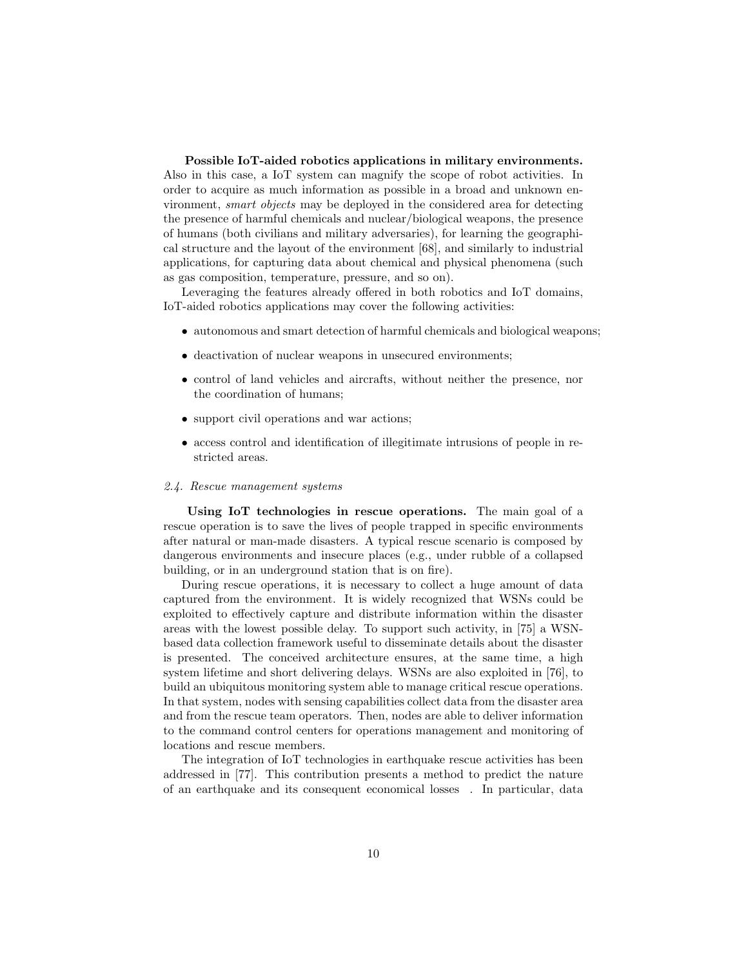Possible IoT-aided robotics applications in military environments. Also in this case, a IoT system can magnify the scope of robot activities. In order to acquire as much information as possible in a broad and unknown environment, smart objects may be deployed in the considered area for detecting the presence of harmful chemicals and nuclear/biological weapons, the presence of humans (both civilians and military adversaries), for learning the geographical structure and the layout of the environment [68], and similarly to industrial applications, for capturing data about chemical and physical phenomena (such as gas composition, temperature, pressure, and so on).

Leveraging the features already offered in both robotics and IoT domains, IoT-aided robotics applications may cover the following activities:

- autonomous and smart detection of harmful chemicals and biological weapons;
- deactivation of nuclear weapons in unsecured environments;
- control of land vehicles and aircrafts, without neither the presence, nor the coordination of humans;
- support civil operations and war actions;
- access control and identification of illegitimate intrusions of people in restricted areas.

#### 2.4. Rescue management systems

Using IoT technologies in rescue operations. The main goal of a rescue operation is to save the lives of people trapped in specific environments after natural or man-made disasters. A typical rescue scenario is composed by dangerous environments and insecure places (e.g., under rubble of a collapsed building, or in an underground station that is on fire).

During rescue operations, it is necessary to collect a huge amount of data captured from the environment. It is widely recognized that WSNs could be exploited to effectively capture and distribute information within the disaster areas with the lowest possible delay. To support such activity, in [75] a WSNbased data collection framework useful to disseminate details about the disaster is presented. The conceived architecture ensures, at the same time, a high system lifetime and short delivering delays. WSNs are also exploited in [76], to build an ubiquitous monitoring system able to manage critical rescue operations. In that system, nodes with sensing capabilities collect data from the disaster area and from the rescue team operators. Then, nodes are able to deliver information to the command control centers for operations management and monitoring of locations and rescue members.

The integration of IoT technologies in earthquake rescue activities has been addressed in [77]. This contribution presents a method to predict the nature of an earthquake and its consequent economical losses . In particular, data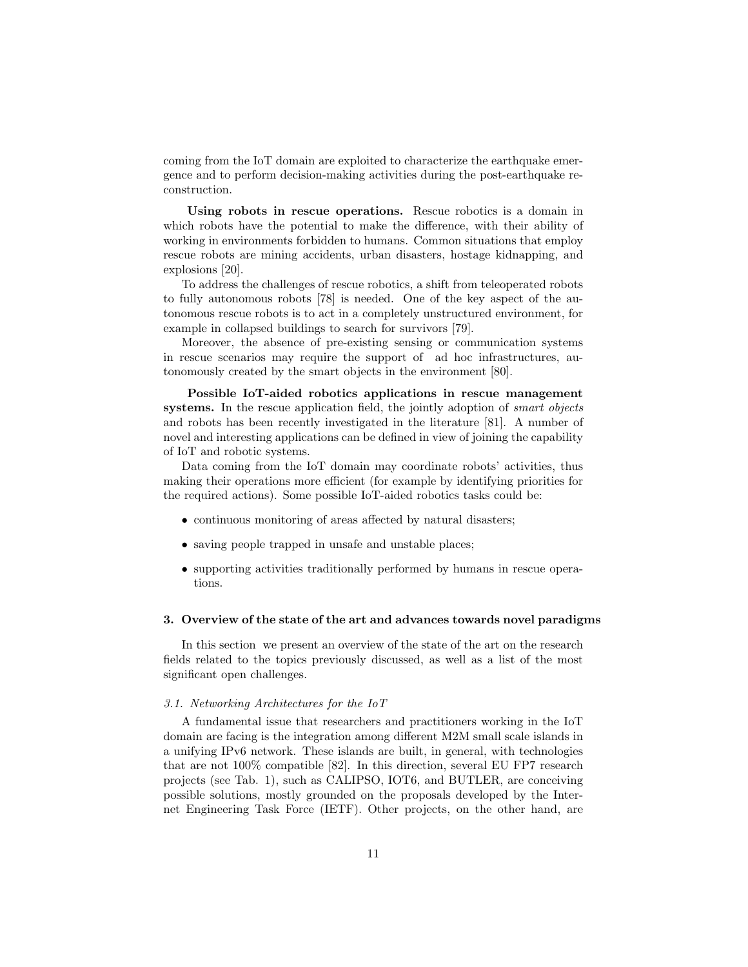coming from the IoT domain are exploited to characterize the earthquake emergence and to perform decision-making activities during the post-earthquake reconstruction.

Using robots in rescue operations. Rescue robotics is a domain in which robots have the potential to make the difference, with their ability of working in environments forbidden to humans. Common situations that employ rescue robots are mining accidents, urban disasters, hostage kidnapping, and explosions [20].

To address the challenges of rescue robotics, a shift from teleoperated robots to fully autonomous robots [78] is needed. One of the key aspect of the autonomous rescue robots is to act in a completely unstructured environment, for example in collapsed buildings to search for survivors [79].

Moreover, the absence of pre-existing sensing or communication systems in rescue scenarios may require the support of ad hoc infrastructures, autonomously created by the smart objects in the environment [80].

Possible IoT-aided robotics applications in rescue management systems. In the rescue application field, the jointly adoption of *smart objects* and robots has been recently investigated in the literature [81]. A number of novel and interesting applications can be defined in view of joining the capability of IoT and robotic systems.

Data coming from the IoT domain may coordinate robots' activities, thus making their operations more efficient (for example by identifying priorities for the required actions). Some possible IoT-aided robotics tasks could be:

- continuous monitoring of areas affected by natural disasters;
- saving people trapped in unsafe and unstable places;
- supporting activities traditionally performed by humans in rescue operations.

## 3. Overview of the state of the art and advances towards novel paradigms

In this section we present an overview of the state of the art on the research fields related to the topics previously discussed, as well as a list of the most significant open challenges.

## 3.1. Networking Architectures for the IoT

A fundamental issue that researchers and practitioners working in the IoT domain are facing is the integration among different M2M small scale islands in a unifying IPv6 network. These islands are built, in general, with technologies that are not 100% compatible [82]. In this direction, several EU FP7 research projects (see Tab. 1), such as CALIPSO, IOT6, and BUTLER, are conceiving possible solutions, mostly grounded on the proposals developed by the Internet Engineering Task Force (IETF). Other projects, on the other hand, are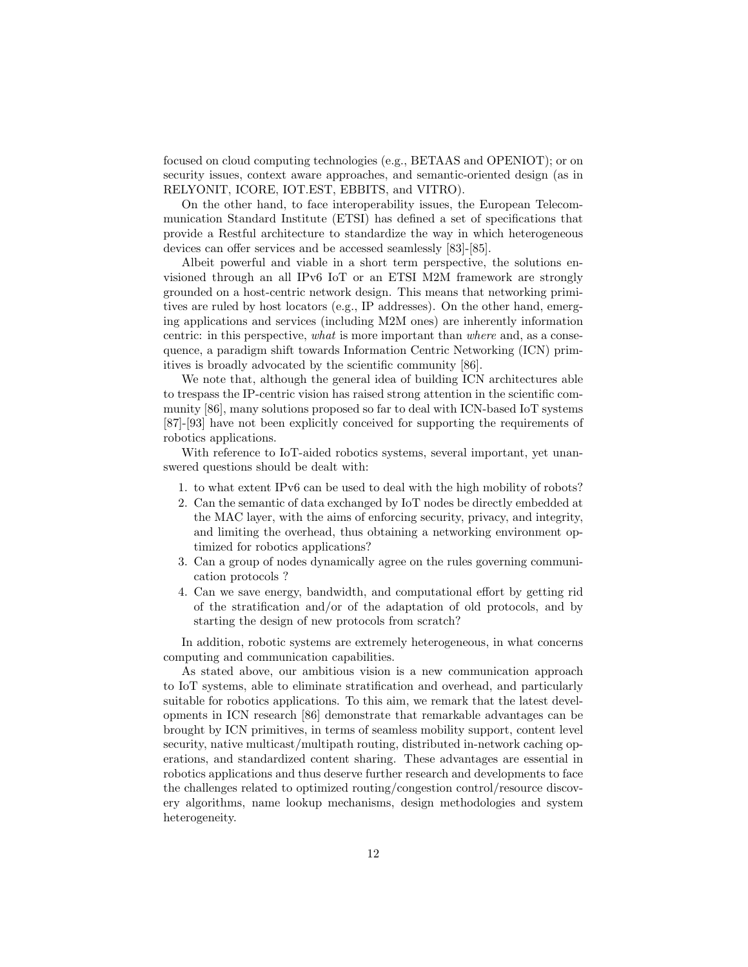focused on cloud computing technologies (e.g., BETAAS and OPENIOT); or on security issues, context aware approaches, and semantic-oriented design (as in RELYONIT, ICORE, IOT.EST, EBBITS, and VITRO).

On the other hand, to face interoperability issues, the European Telecommunication Standard Institute (ETSI) has defined a set of specifications that provide a Restful architecture to standardize the way in which heterogeneous devices can offer services and be accessed seamlessly [83]-[85].

Albeit powerful and viable in a short term perspective, the solutions envisioned through an all IPv6 IoT or an ETSI M2M framework are strongly grounded on a host-centric network design. This means that networking primitives are ruled by host locators (e.g., IP addresses). On the other hand, emerging applications and services (including M2M ones) are inherently information centric: in this perspective, what is more important than where and, as a consequence, a paradigm shift towards Information Centric Networking (ICN) primitives is broadly advocated by the scientific community [86].

We note that, although the general idea of building ICN architectures able to trespass the IP-centric vision has raised strong attention in the scientific community [86], many solutions proposed so far to deal with ICN-based IoT systems [87]-[93] have not been explicitly conceived for supporting the requirements of robotics applications.

With reference to IoT-aided robotics systems, several important, yet unanswered questions should be dealt with:

- 1. to what extent IPv6 can be used to deal with the high mobility of robots?
- 2. Can the semantic of data exchanged by IoT nodes be directly embedded at the MAC layer, with the aims of enforcing security, privacy, and integrity, and limiting the overhead, thus obtaining a networking environment optimized for robotics applications?
- 3. Can a group of nodes dynamically agree on the rules governing communication protocols ?
- 4. Can we save energy, bandwidth, and computational effort by getting rid of the stratification and/or of the adaptation of old protocols, and by starting the design of new protocols from scratch?

In addition, robotic systems are extremely heterogeneous, in what concerns computing and communication capabilities.

As stated above, our ambitious vision is a new communication approach to IoT systems, able to eliminate stratification and overhead, and particularly suitable for robotics applications. To this aim, we remark that the latest developments in ICN research [86] demonstrate that remarkable advantages can be brought by ICN primitives, in terms of seamless mobility support, content level security, native multicast/multipath routing, distributed in-network caching operations, and standardized content sharing. These advantages are essential in robotics applications and thus deserve further research and developments to face the challenges related to optimized routing/congestion control/resource discovery algorithms, name lookup mechanisms, design methodologies and system heterogeneity.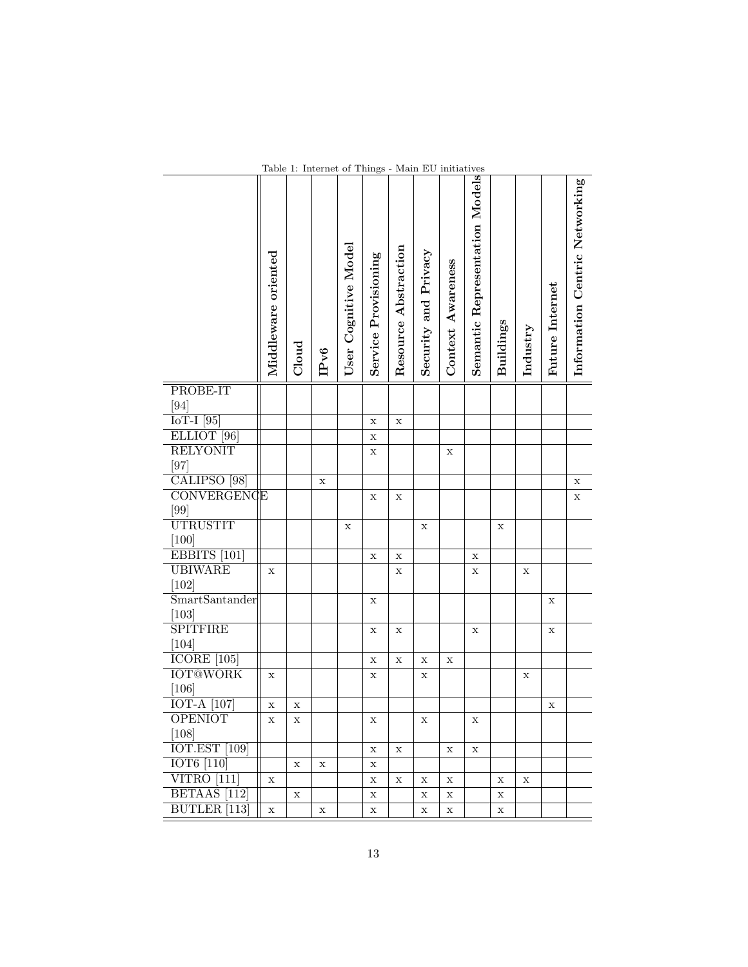|                                                                                                                                                                                                          | Middleware oriented | Cloud       | IPv6 | User Cognitive Model | Service Provisioning | Resource Abstraction | Security and Privacy | Context Awareness | Semantic Representation Models | <b>Buildings</b> | Industry | Future Internet | Information Centric Networking |
|----------------------------------------------------------------------------------------------------------------------------------------------------------------------------------------------------------|---------------------|-------------|------|----------------------|----------------------|----------------------|----------------------|-------------------|--------------------------------|------------------|----------|-----------------|--------------------------------|
| PROBE-IT                                                                                                                                                                                                 |                     |             |      |                      |                      |                      |                      |                   |                                |                  |          |                 |                                |
| $[94] % \includegraphics[width=1\textwidth]{images/Traj_4.pdf} \caption{The figure shows the results of the estimators in the left hand side.} \label{fig:Traj_4.pdf}$<br>$\overline{\text{IoT-I}}$ [95] |                     |             |      |                      | X                    | $\mathbf X$          |                      |                   |                                |                  |          |                 |                                |
| ELLIOT <sup>[96]</sup>                                                                                                                                                                                   |                     |             |      |                      | $\mathbf X$          |                      |                      |                   |                                |                  |          |                 |                                |
| <b>RELYONIT</b>                                                                                                                                                                                          |                     |             |      |                      | X                    |                      |                      | X                 |                                |                  |          |                 |                                |
| $[97] % \includegraphics[width=1\textwidth]{images/Traj_4.pdf} \caption{The 3D (top) and the 4D (bottom) of the estimators in the left and right.} \label{fig:Traj_4}$                                   |                     |             |      |                      |                      |                      |                      |                   |                                |                  |          |                 |                                |
| CALIPSO <sup>[98]</sup>                                                                                                                                                                                  |                     |             | Х    |                      |                      |                      |                      |                   |                                |                  |          |                 | $\mathbf X$                    |
| CONVERGENCE                                                                                                                                                                                              |                     |             |      |                      | $\mathbf X$          | $\mathbf X$          |                      |                   |                                |                  |          |                 | $\mathbf x$                    |
| $[99]$                                                                                                                                                                                                   |                     |             |      |                      |                      |                      |                      |                   |                                |                  |          |                 |                                |
| <b>UTRUSTIT</b>                                                                                                                                                                                          |                     |             |      | X                    |                      |                      | Х                    |                   |                                | $\mathbf X$      |          |                 |                                |
| $[100]$                                                                                                                                                                                                  |                     |             |      |                      |                      |                      |                      |                   |                                |                  |          |                 |                                |
| EBBITS [101]                                                                                                                                                                                             |                     |             |      |                      | X                    | $\mathbf X$          |                      |                   | $\mathbf X$                    |                  |          |                 |                                |
| <b>UBIWARE</b>                                                                                                                                                                                           | X                   |             |      |                      |                      | $\mathbf X$          |                      |                   | X                              |                  | X        |                 |                                |
| $[102]$                                                                                                                                                                                                  |                     |             |      |                      |                      |                      |                      |                   |                                |                  |          |                 |                                |
| S <sub>mart</sub> Santander                                                                                                                                                                              |                     |             |      |                      | X                    |                      |                      |                   |                                |                  |          | X               |                                |
| [103]<br><b>SPITFIRE</b>                                                                                                                                                                                 |                     |             |      |                      |                      |                      |                      |                   |                                |                  |          |                 |                                |
| $[104]$                                                                                                                                                                                                  |                     |             |      |                      | X                    | $\mathbf X$          |                      |                   | X                              |                  |          | X               |                                |
| ICORE [105]                                                                                                                                                                                              |                     |             |      |                      | Х                    | $\mathbf X$          | Х                    | X                 |                                |                  |          |                 |                                |
| <b>IOT@WORK</b>                                                                                                                                                                                          | $\mathbf X$         |             |      |                      | X                    |                      | X                    |                   |                                |                  | Х        |                 |                                |
| $[106]$                                                                                                                                                                                                  |                     |             |      |                      |                      |                      |                      |                   |                                |                  |          |                 |                                |
| <b>IOT-A</b><br>[107]                                                                                                                                                                                    | $\mathbf X$         | $\mathbf X$ |      |                      |                      |                      |                      |                   |                                |                  |          | X               |                                |
| <b>OPENIOT</b>                                                                                                                                                                                           | $\mathbf x$         | $\mathbf x$ |      |                      | $\mathbf x$          |                      | $\mathbf x$          |                   | $\mathbf x$                    |                  |          |                 |                                |
| $[108]$                                                                                                                                                                                                  |                     |             |      |                      |                      |                      |                      |                   |                                |                  |          |                 |                                |
| <b>IOT.EST</b> [109]                                                                                                                                                                                     |                     |             |      |                      | $\mathbf x$          | $\mathbf X$          |                      | $\mathbf x$       | $\mathbf X$                    |                  |          |                 |                                |
| $\overline{IOT6}$ [110]                                                                                                                                                                                  |                     | $\mathbf X$ | X    |                      | X                    |                      |                      |                   |                                |                  |          |                 |                                |
| $VITRO$ [111]                                                                                                                                                                                            | $\mathbf X$         |             |      |                      | X                    | X                    | X                    | $\mathbf X$       |                                | X                | X        |                 |                                |
| BETAAS <sup>[112]</sup>                                                                                                                                                                                  |                     | X           |      |                      | X                    |                      | $\mathbf X$          | X                 |                                | X                |          |                 |                                |
| <b>BUTLER</b> [113]                                                                                                                                                                                      | $\mathbf X$         |             | X    |                      | X                    |                      | X                    | X                 |                                | X                |          |                 |                                |

# Table 1: Internet of Things - Main EU initiatives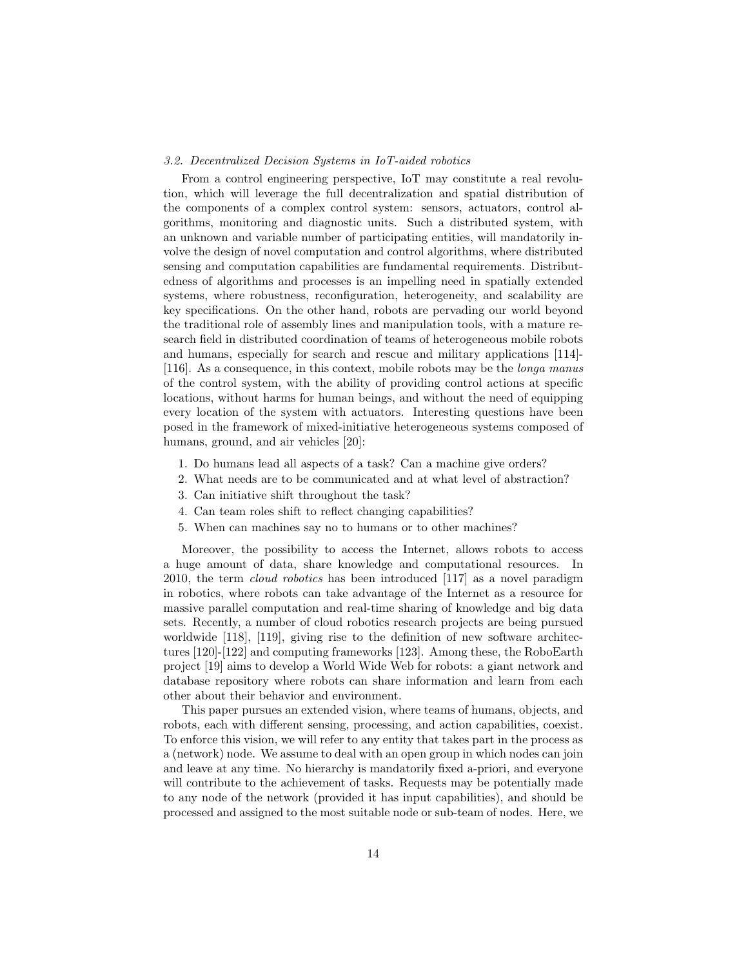## 3.2. Decentralized Decision Systems in IoT-aided robotics

From a control engineering perspective, IoT may constitute a real revolution, which will leverage the full decentralization and spatial distribution of the components of a complex control system: sensors, actuators, control algorithms, monitoring and diagnostic units. Such a distributed system, with an unknown and variable number of participating entities, will mandatorily involve the design of novel computation and control algorithms, where distributed sensing and computation capabilities are fundamental requirements. Distributedness of algorithms and processes is an impelling need in spatially extended systems, where robustness, reconfiguration, heterogeneity, and scalability are key specifications. On the other hand, robots are pervading our world beyond the traditional role of assembly lines and manipulation tools, with a mature research field in distributed coordination of teams of heterogeneous mobile robots and humans, especially for search and rescue and military applications [114]- [116]. As a consequence, in this context, mobile robots may be the longa manus of the control system, with the ability of providing control actions at specific locations, without harms for human beings, and without the need of equipping every location of the system with actuators. Interesting questions have been posed in the framework of mixed-initiative heterogeneous systems composed of humans, ground, and air vehicles [20]:

- 1. Do humans lead all aspects of a task? Can a machine give orders?
- 2. What needs are to be communicated and at what level of abstraction?
- 3. Can initiative shift throughout the task?
- 4. Can team roles shift to reflect changing capabilities?
- 5. When can machines say no to humans or to other machines?

Moreover, the possibility to access the Internet, allows robots to access a huge amount of data, share knowledge and computational resources. In 2010, the term cloud robotics has been introduced [117] as a novel paradigm in robotics, where robots can take advantage of the Internet as a resource for massive parallel computation and real-time sharing of knowledge and big data sets. Recently, a number of cloud robotics research projects are being pursued worldwide [118], [119], giving rise to the definition of new software architectures [120]-[122] and computing frameworks [123]. Among these, the RoboEarth project [19] aims to develop a World Wide Web for robots: a giant network and database repository where robots can share information and learn from each other about their behavior and environment.

This paper pursues an extended vision, where teams of humans, objects, and robots, each with different sensing, processing, and action capabilities, coexist. To enforce this vision, we will refer to any entity that takes part in the process as a (network) node. We assume to deal with an open group in which nodes can join and leave at any time. No hierarchy is mandatorily fixed a-priori, and everyone will contribute to the achievement of tasks. Requests may be potentially made to any node of the network (provided it has input capabilities), and should be processed and assigned to the most suitable node or sub-team of nodes. Here, we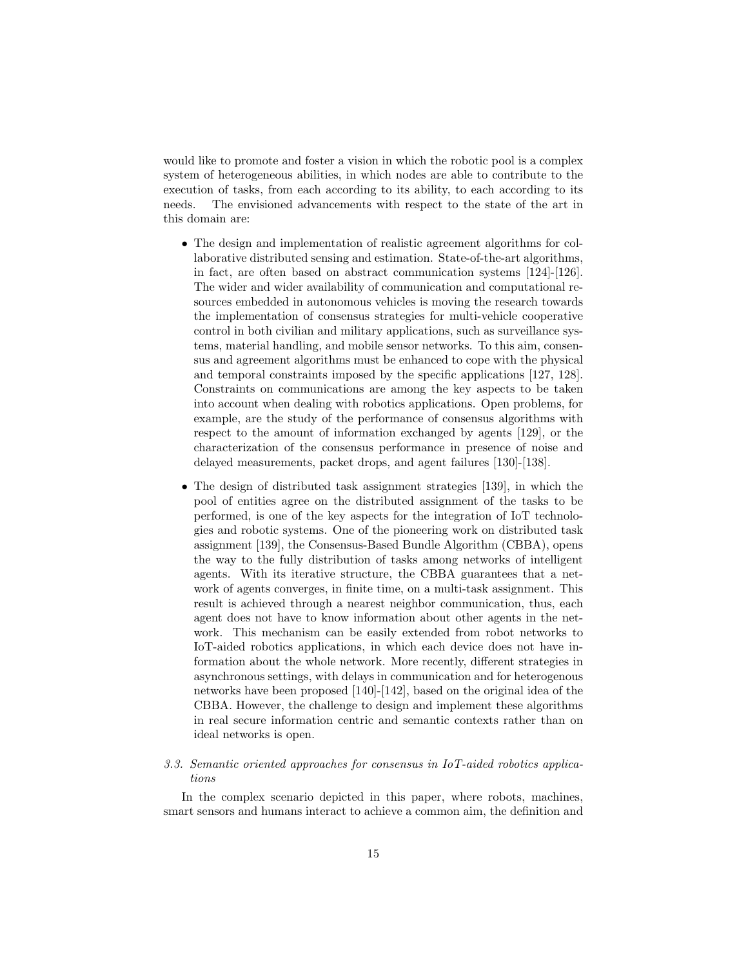would like to promote and foster a vision in which the robotic pool is a complex system of heterogeneous abilities, in which nodes are able to contribute to the execution of tasks, from each according to its ability, to each according to its needs. The envisioned advancements with respect to the state of the art in this domain are:

- The design and implementation of realistic agreement algorithms for collaborative distributed sensing and estimation. State-of-the-art algorithms, in fact, are often based on abstract communication systems [124]-[126]. The wider and wider availability of communication and computational resources embedded in autonomous vehicles is moving the research towards the implementation of consensus strategies for multi-vehicle cooperative control in both civilian and military applications, such as surveillance systems, material handling, and mobile sensor networks. To this aim, consensus and agreement algorithms must be enhanced to cope with the physical and temporal constraints imposed by the specific applications [127, 128]. Constraints on communications are among the key aspects to be taken into account when dealing with robotics applications. Open problems, for example, are the study of the performance of consensus algorithms with respect to the amount of information exchanged by agents [129], or the characterization of the consensus performance in presence of noise and delayed measurements, packet drops, and agent failures [130]-[138].
- The design of distributed task assignment strategies [139], in which the pool of entities agree on the distributed assignment of the tasks to be performed, is one of the key aspects for the integration of IoT technologies and robotic systems. One of the pioneering work on distributed task assignment [139], the Consensus-Based Bundle Algorithm (CBBA), opens the way to the fully distribution of tasks among networks of intelligent agents. With its iterative structure, the CBBA guarantees that a network of agents converges, in finite time, on a multi-task assignment. This result is achieved through a nearest neighbor communication, thus, each agent does not have to know information about other agents in the network. This mechanism can be easily extended from robot networks to IoT-aided robotics applications, in which each device does not have information about the whole network. More recently, different strategies in asynchronous settings, with delays in communication and for heterogenous networks have been proposed [140]-[142], based on the original idea of the CBBA. However, the challenge to design and implement these algorithms in real secure information centric and semantic contexts rather than on ideal networks is open.

## 3.3. Semantic oriented approaches for consensus in IoT-aided robotics applications

In the complex scenario depicted in this paper, where robots, machines, smart sensors and humans interact to achieve a common aim, the definition and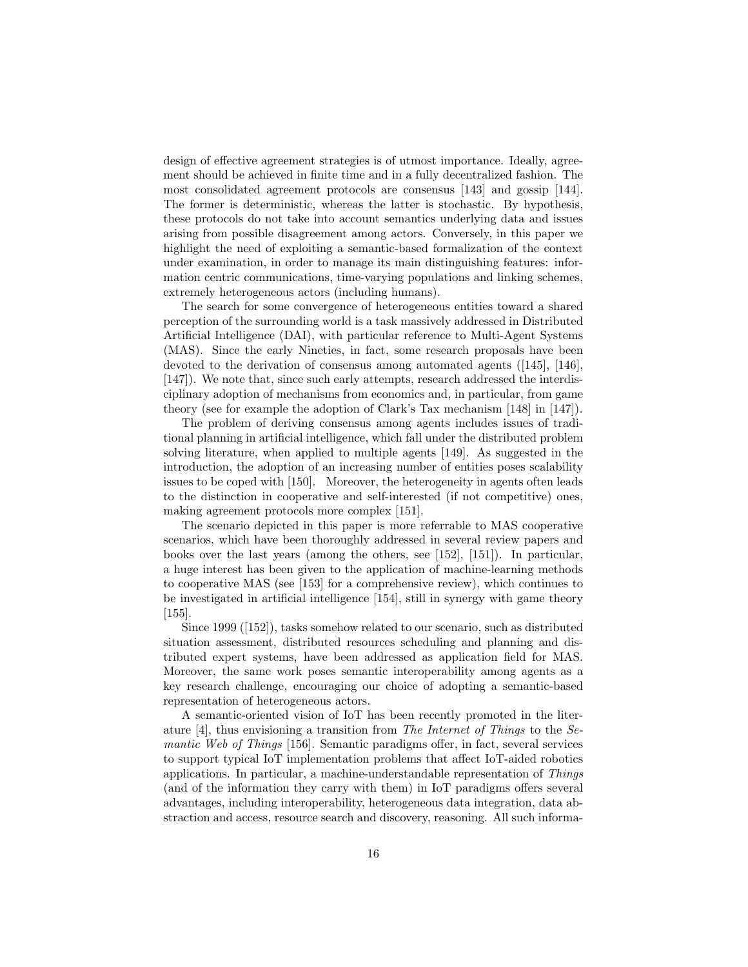design of effective agreement strategies is of utmost importance. Ideally, agreement should be achieved in finite time and in a fully decentralized fashion. The most consolidated agreement protocols are consensus [143] and gossip [144]. The former is deterministic, whereas the latter is stochastic. By hypothesis, these protocols do not take into account semantics underlying data and issues arising from possible disagreement among actors. Conversely, in this paper we highlight the need of exploiting a semantic-based formalization of the context under examination, in order to manage its main distinguishing features: information centric communications, time-varying populations and linking schemes, extremely heterogeneous actors (including humans).

The search for some convergence of heterogeneous entities toward a shared perception of the surrounding world is a task massively addressed in Distributed Artificial Intelligence (DAI), with particular reference to Multi-Agent Systems (MAS). Since the early Nineties, in fact, some research proposals have been devoted to the derivation of consensus among automated agents ([145], [146], [147]). We note that, since such early attempts, research addressed the interdisciplinary adoption of mechanisms from economics and, in particular, from game theory (see for example the adoption of Clark's Tax mechanism [148] in [147]).

The problem of deriving consensus among agents includes issues of traditional planning in artificial intelligence, which fall under the distributed problem solving literature, when applied to multiple agents [149]. As suggested in the introduction, the adoption of an increasing number of entities poses scalability issues to be coped with [150]. Moreover, the heterogeneity in agents often leads to the distinction in cooperative and self-interested (if not competitive) ones, making agreement protocols more complex [151].

The scenario depicted in this paper is more referrable to MAS cooperative scenarios, which have been thoroughly addressed in several review papers and books over the last years (among the others, see [152], [151]). In particular, a huge interest has been given to the application of machine-learning methods to cooperative MAS (see [153] for a comprehensive review), which continues to be investigated in artificial intelligence [154], still in synergy with game theory [155].

Since 1999 ([152]), tasks somehow related to our scenario, such as distributed situation assessment, distributed resources scheduling and planning and distributed expert systems, have been addressed as application field for MAS. Moreover, the same work poses semantic interoperability among agents as a key research challenge, encouraging our choice of adopting a semantic-based representation of heterogeneous actors.

A semantic-oriented vision of IoT has been recently promoted in the literature [4], thus envisioning a transition from The Internet of Things to the Semantic Web of Things [156]. Semantic paradigms offer, in fact, several services to support typical IoT implementation problems that affect IoT-aided robotics applications. In particular, a machine-understandable representation of Things (and of the information they carry with them) in IoT paradigms offers several advantages, including interoperability, heterogeneous data integration, data abstraction and access, resource search and discovery, reasoning. All such informa-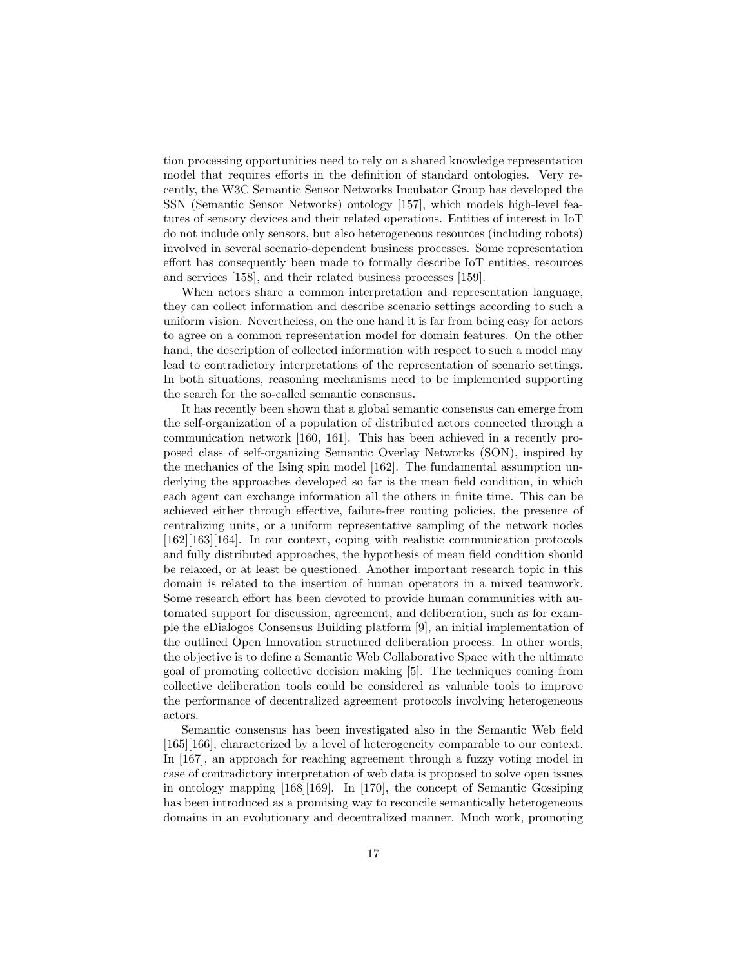tion processing opportunities need to rely on a shared knowledge representation model that requires efforts in the definition of standard ontologies. Very recently, the W3C Semantic Sensor Networks Incubator Group has developed the SSN (Semantic Sensor Networks) ontology [157], which models high-level features of sensory devices and their related operations. Entities of interest in IoT do not include only sensors, but also heterogeneous resources (including robots) involved in several scenario-dependent business processes. Some representation effort has consequently been made to formally describe IoT entities, resources and services [158], and their related business processes [159].

When actors share a common interpretation and representation language, they can collect information and describe scenario settings according to such a uniform vision. Nevertheless, on the one hand it is far from being easy for actors to agree on a common representation model for domain features. On the other hand, the description of collected information with respect to such a model may lead to contradictory interpretations of the representation of scenario settings. In both situations, reasoning mechanisms need to be implemented supporting the search for the so-called semantic consensus.

It has recently been shown that a global semantic consensus can emerge from the self-organization of a population of distributed actors connected through a communication network [160, 161]. This has been achieved in a recently proposed class of self-organizing Semantic Overlay Networks (SON), inspired by the mechanics of the Ising spin model [162]. The fundamental assumption underlying the approaches developed so far is the mean field condition, in which each agent can exchange information all the others in finite time. This can be achieved either through effective, failure-free routing policies, the presence of centralizing units, or a uniform representative sampling of the network nodes [162][163][164]. In our context, coping with realistic communication protocols and fully distributed approaches, the hypothesis of mean field condition should be relaxed, or at least be questioned. Another important research topic in this domain is related to the insertion of human operators in a mixed teamwork. Some research effort has been devoted to provide human communities with automated support for discussion, agreement, and deliberation, such as for example the eDialogos Consensus Building platform [9], an initial implementation of the outlined Open Innovation structured deliberation process. In other words, the objective is to define a Semantic Web Collaborative Space with the ultimate goal of promoting collective decision making [5]. The techniques coming from collective deliberation tools could be considered as valuable tools to improve the performance of decentralized agreement protocols involving heterogeneous actors.

Semantic consensus has been investigated also in the Semantic Web field [165][166], characterized by a level of heterogeneity comparable to our context. In [167], an approach for reaching agreement through a fuzzy voting model in case of contradictory interpretation of web data is proposed to solve open issues in ontology mapping [168][169]. In [170], the concept of Semantic Gossiping has been introduced as a promising way to reconcile semantically heterogeneous domains in an evolutionary and decentralized manner. Much work, promoting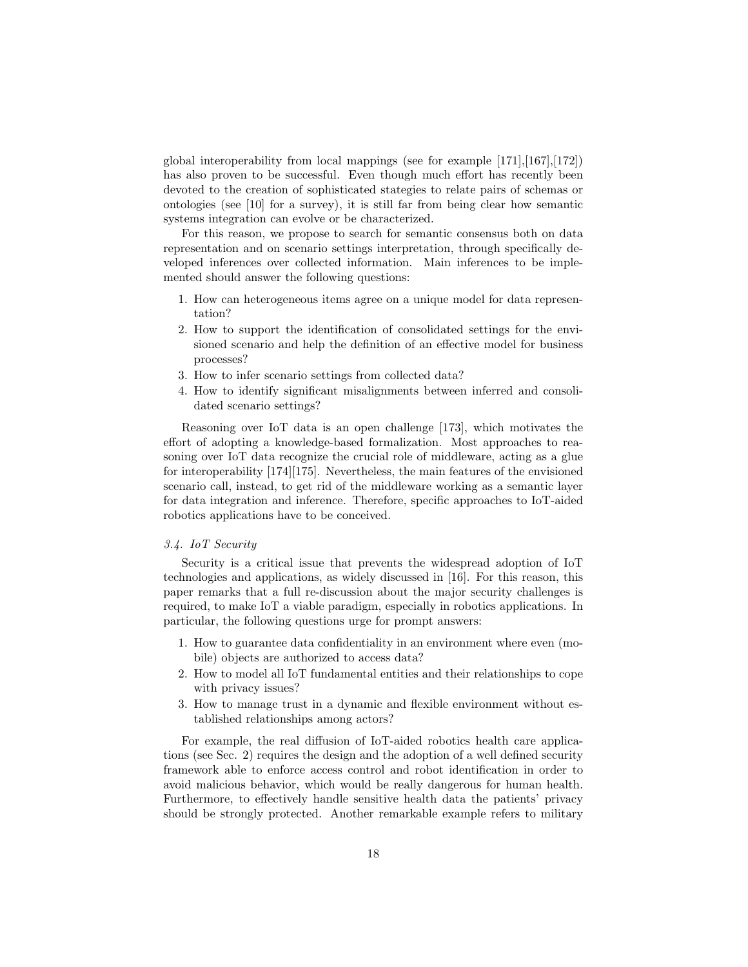global interoperability from local mappings (see for example [171],[167],[172]) has also proven to be successful. Even though much effort has recently been devoted to the creation of sophisticated stategies to relate pairs of schemas or ontologies (see [10] for a survey), it is still far from being clear how semantic systems integration can evolve or be characterized.

For this reason, we propose to search for semantic consensus both on data representation and on scenario settings interpretation, through specifically developed inferences over collected information. Main inferences to be implemented should answer the following questions:

- 1. How can heterogeneous items agree on a unique model for data representation?
- 2. How to support the identification of consolidated settings for the envisioned scenario and help the definition of an effective model for business processes?
- 3. How to infer scenario settings from collected data?
- 4. How to identify significant misalignments between inferred and consolidated scenario settings?

Reasoning over IoT data is an open challenge [173], which motivates the effort of adopting a knowledge-based formalization. Most approaches to reasoning over IoT data recognize the crucial role of middleware, acting as a glue for interoperability [174][175]. Nevertheless, the main features of the envisioned scenario call, instead, to get rid of the middleware working as a semantic layer for data integration and inference. Therefore, specific approaches to IoT-aided robotics applications have to be conceived.

## 3.4. IoT Security

Security is a critical issue that prevents the widespread adoption of IoT technologies and applications, as widely discussed in [16]. For this reason, this paper remarks that a full re-discussion about the major security challenges is required, to make IoT a viable paradigm, especially in robotics applications. In particular, the following questions urge for prompt answers:

- 1. How to guarantee data confidentiality in an environment where even (mobile) objects are authorized to access data?
- 2. How to model all IoT fundamental entities and their relationships to cope with privacy issues?
- 3. How to manage trust in a dynamic and flexible environment without established relationships among actors?

For example, the real diffusion of IoT-aided robotics health care applications (see Sec. 2) requires the design and the adoption of a well defined security framework able to enforce access control and robot identification in order to avoid malicious behavior, which would be really dangerous for human health. Furthermore, to effectively handle sensitive health data the patients' privacy should be strongly protected. Another remarkable example refers to military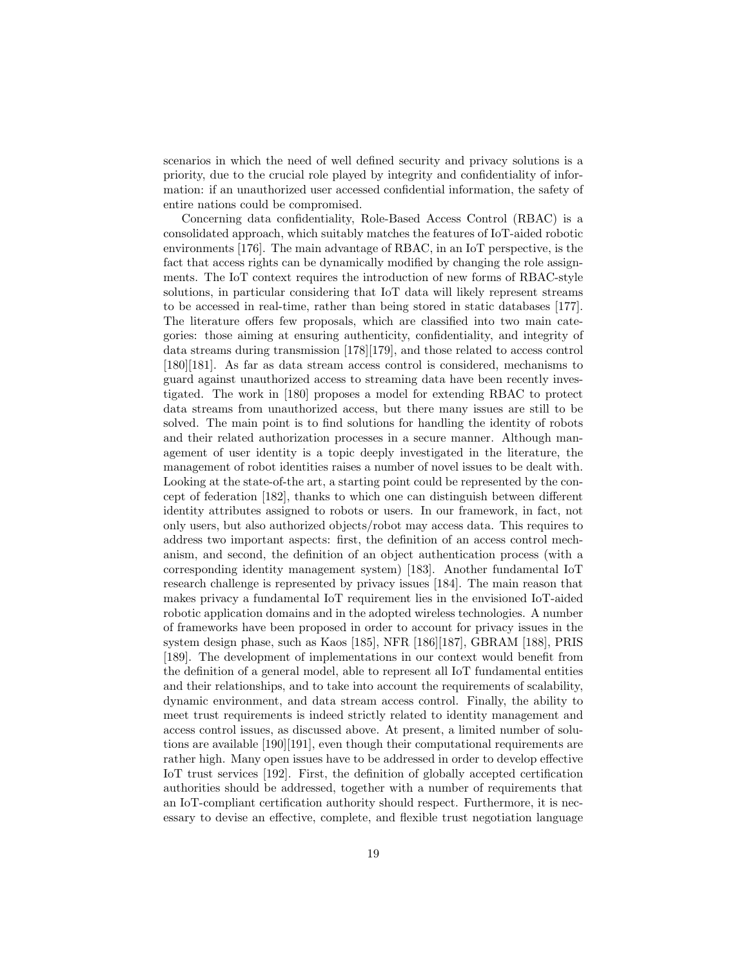scenarios in which the need of well defined security and privacy solutions is a priority, due to the crucial role played by integrity and confidentiality of information: if an unauthorized user accessed confidential information, the safety of entire nations could be compromised.

Concerning data confidentiality, Role-Based Access Control (RBAC) is a consolidated approach, which suitably matches the features of IoT-aided robotic environments [176]. The main advantage of RBAC, in an IoT perspective, is the fact that access rights can be dynamically modified by changing the role assignments. The IoT context requires the introduction of new forms of RBAC-style solutions, in particular considering that IoT data will likely represent streams to be accessed in real-time, rather than being stored in static databases [177]. The literature offers few proposals, which are classified into two main categories: those aiming at ensuring authenticity, confidentiality, and integrity of data streams during transmission [178][179], and those related to access control [180][181]. As far as data stream access control is considered, mechanisms to guard against unauthorized access to streaming data have been recently investigated. The work in [180] proposes a model for extending RBAC to protect data streams from unauthorized access, but there many issues are still to be solved. The main point is to find solutions for handling the identity of robots and their related authorization processes in a secure manner. Although management of user identity is a topic deeply investigated in the literature, the management of robot identities raises a number of novel issues to be dealt with. Looking at the state-of-the art, a starting point could be represented by the concept of federation [182], thanks to which one can distinguish between different identity attributes assigned to robots or users. In our framework, in fact, not only users, but also authorized objects/robot may access data. This requires to address two important aspects: first, the definition of an access control mechanism, and second, the definition of an object authentication process (with a corresponding identity management system) [183]. Another fundamental IoT research challenge is represented by privacy issues [184]. The main reason that makes privacy a fundamental IoT requirement lies in the envisioned IoT-aided robotic application domains and in the adopted wireless technologies. A number of frameworks have been proposed in order to account for privacy issues in the system design phase, such as Kaos [185], NFR [186][187], GBRAM [188], PRIS [189]. The development of implementations in our context would benefit from the definition of a general model, able to represent all IoT fundamental entities and their relationships, and to take into account the requirements of scalability, dynamic environment, and data stream access control. Finally, the ability to meet trust requirements is indeed strictly related to identity management and access control issues, as discussed above. At present, a limited number of solutions are available [190][191], even though their computational requirements are rather high. Many open issues have to be addressed in order to develop effective IoT trust services [192]. First, the definition of globally accepted certification authorities should be addressed, together with a number of requirements that an IoT-compliant certification authority should respect. Furthermore, it is necessary to devise an effective, complete, and flexible trust negotiation language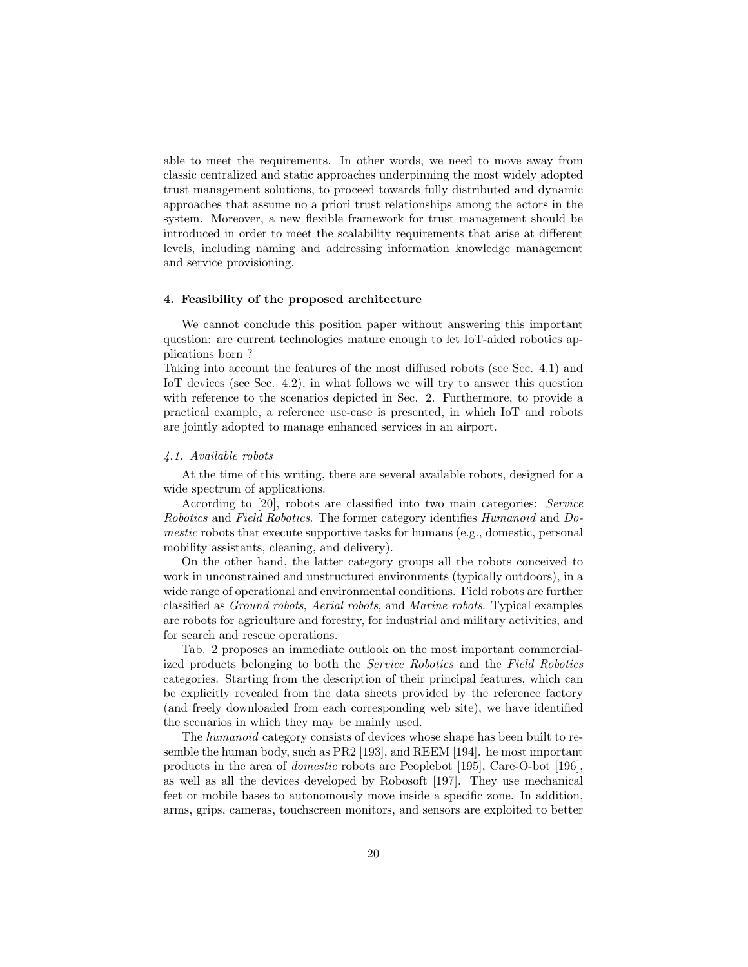able to meet the requirements. In other words, we need to move away from classic centralized and static approaches underpinning the most widely adopted trust management solutions, to proceed towards fully distributed and dynamic approaches that assume no a priori trust relationships among the actors in the system. Moreover, a new flexible framework for trust management should be introduced in order to meet the scalability requirements that arise at different levels, including naming and addressing information knowledge management and service provisioning.

### 4. Feasibility of the proposed architecture

We cannot conclude this position paper without answering this important question: are current technologies mature enough to let IoT-aided robotics applications born ?

Taking into account the features of the most diffused robots (see Sec. 4.1) and IoT devices (see Sec. 4.2), in what follows we will try to answer this question with reference to the scenarios depicted in Sec. 2. Furthermore, to provide a practical example, a reference use-case is presented, in which IoT and robots are jointly adopted to manage enhanced services in an airport.

## 4.1. Available robots

At the time of this writing, there are several available robots, designed for a wide spectrum of applications.

According to [20], robots are classified into two main categories: Service Robotics and Field Robotics. The former category identifies Humanoid and Domestic robots that execute supportive tasks for humans (e.g., domestic, personal mobility assistants, cleaning, and delivery).

On the other hand, the latter category groups all the robots conceived to work in unconstrained and unstructured environments (typically outdoors), in a wide range of operational and environmental conditions. Field robots are further classified as Ground robots, Aerial robots, and Marine robots. Typical examples are robots for agriculture and forestry, for industrial and military activities, and for search and rescue operations.

Tab. 2 proposes an immediate outlook on the most important commercialized products belonging to both the Service Robotics and the Field Robotics categories. Starting from the description of their principal features, which can be explicitly revealed from the data sheets provided by the reference factory (and freely downloaded from each corresponding web site), we have identified the scenarios in which they may be mainly used.

The humanoid category consists of devices whose shape has been built to resemble the human body, such as PR2 [193], and REEM [194]. he most important products in the area of domestic robots are Peoplebot [195], Care-O-bot [196], as well as all the devices developed by Robosoft [197]. They use mechanical feet or mobile bases to autonomously move inside a specific zone. In addition, arms, grips, cameras, touchscreen monitors, and sensors are exploited to better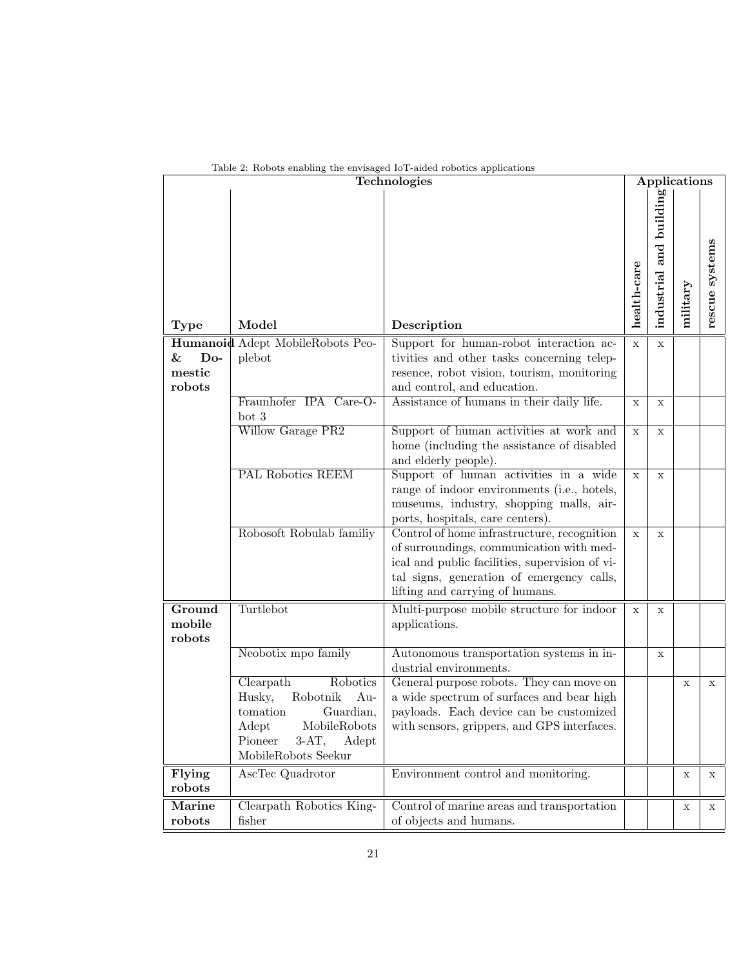| Technologies                 |                                                                                                                                                            |                                                                                                                                                                                                                           |             |                         |             | Applications      |  |  |  |
|------------------------------|------------------------------------------------------------------------------------------------------------------------------------------------------------|---------------------------------------------------------------------------------------------------------------------------------------------------------------------------------------------------------------------------|-------------|-------------------------|-------------|-------------------|--|--|--|
| <b>Type</b>                  | Model                                                                                                                                                      | Description                                                                                                                                                                                                               | health-care | industrial and building | military    | systems<br>rescue |  |  |  |
|                              | Humanoid Adept MobileRobots Peo-                                                                                                                           | Support for human-robot interaction ac-                                                                                                                                                                                   | $\mathbf x$ | X                       |             |                   |  |  |  |
| &<br>Do-<br>mestic<br>robots | plebot                                                                                                                                                     | tivities and other tasks concerning telep-<br>resence, robot vision, tourism, monitoring<br>and control, and education.                                                                                                   |             |                         |             |                   |  |  |  |
|                              | Fraunhofer IPA Care-O-<br>bot 3                                                                                                                            | Assistance of humans in their daily life.                                                                                                                                                                                 | X           | X                       |             |                   |  |  |  |
|                              | Willow Garage PR2                                                                                                                                          | Support of human activities at work and<br>home (including the assistance of disabled<br>and elderly people).                                                                                                             | $\mathbf x$ | $\mathbf X$             |             |                   |  |  |  |
|                              | PAL Robotics REEM                                                                                                                                          | Support of human activities in a wide<br>range of indoor environments (i.e., hotels,<br>museums, industry, shopping malls, air-<br>ports, hospitals, care centers).                                                       | $\mathbf X$ | $\mathbf X$             |             |                   |  |  |  |
|                              | Robosoft Robulab familiy                                                                                                                                   | Control of home infrastructure, recognition<br>of surroundings, communication with med-<br>ical and public facilities, supervision of vi-<br>tal signs, generation of emergency calls,<br>lifting and carrying of humans. | X           | X                       |             |                   |  |  |  |
| Ground<br>mobile<br>robots   | Turtlebot                                                                                                                                                  | Multi-purpose mobile structure for indoor<br>applications.                                                                                                                                                                | X           | Х                       |             |                   |  |  |  |
|                              | Neobotix mpo family                                                                                                                                        | Autonomous transportation systems in in-<br>dustrial environments.                                                                                                                                                        |             | X                       |             |                   |  |  |  |
|                              | Robotics<br>Clearpath<br>Husky,<br>Robotnik<br>Au-<br>tomation<br>Guardian,<br>Adept<br>MobileRobots<br>Pioneer<br>$3-AT,$<br>Adept<br>MobileRobots Seekur | General purpose robots. They can move on<br>a wide spectrum of surfaces and bear high<br>payloads. Each device can be customized<br>with sensors, grippers, and GPS interfaces.                                           |             |                         | X           | X                 |  |  |  |
| Flying<br>robots             | AscTec Quadrotor                                                                                                                                           | Environment control and monitoring.                                                                                                                                                                                       |             |                         | $\mathbf X$ | X                 |  |  |  |
| Marine<br>robots             | Clearpath Robotics King-<br>fisher                                                                                                                         | Control of marine areas and transportation<br>of objects and humans.                                                                                                                                                      |             |                         | $\mathbf X$ | X                 |  |  |  |

## Table 2: Robots enabling the envisaged IoT-aided robotics applications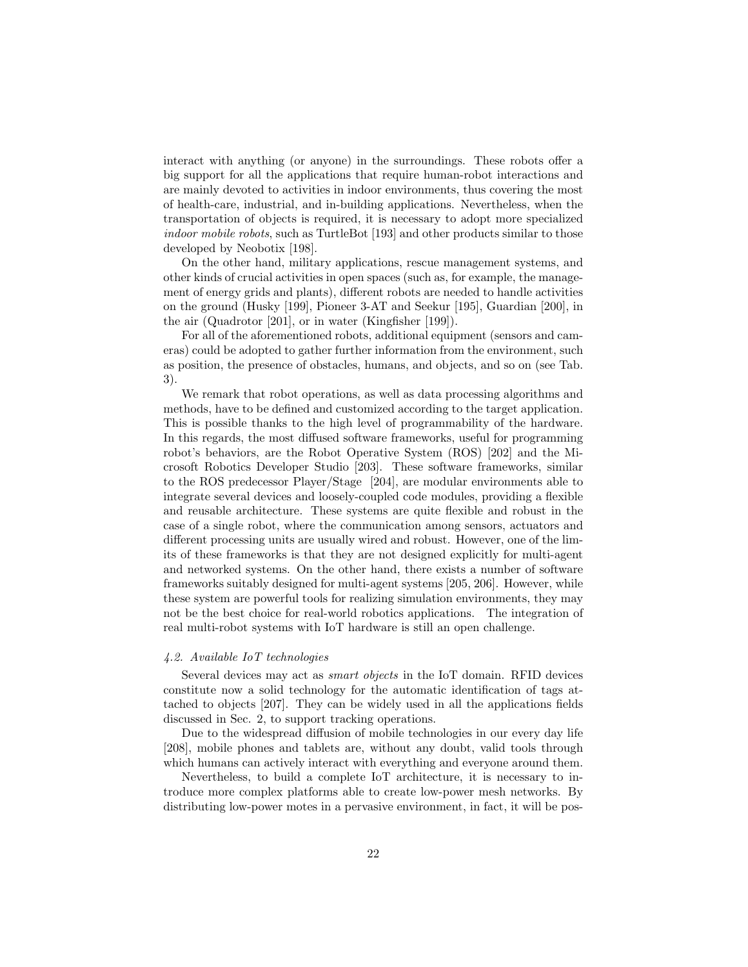interact with anything (or anyone) in the surroundings. These robots offer a big support for all the applications that require human-robot interactions and are mainly devoted to activities in indoor environments, thus covering the most of health-care, industrial, and in-building applications. Nevertheless, when the transportation of objects is required, it is necessary to adopt more specialized indoor mobile robots, such as TurtleBot [193] and other products similar to those developed by Neobotix [198].

On the other hand, military applications, rescue management systems, and other kinds of crucial activities in open spaces (such as, for example, the management of energy grids and plants), different robots are needed to handle activities on the ground (Husky [199], Pioneer 3-AT and Seekur [195], Guardian [200], in the air (Quadrotor [201], or in water (Kingfisher [199]).

For all of the aforementioned robots, additional equipment (sensors and cameras) could be adopted to gather further information from the environment, such as position, the presence of obstacles, humans, and objects, and so on (see Tab. 3).

We remark that robot operations, as well as data processing algorithms and methods, have to be defined and customized according to the target application. This is possible thanks to the high level of programmability of the hardware. In this regards, the most diffused software frameworks, useful for programming robot's behaviors, are the Robot Operative System (ROS) [202] and the Microsoft Robotics Developer Studio [203]. These software frameworks, similar to the ROS predecessor Player/Stage [204], are modular environments able to integrate several devices and loosely-coupled code modules, providing a flexible and reusable architecture. These systems are quite flexible and robust in the case of a single robot, where the communication among sensors, actuators and different processing units are usually wired and robust. However, one of the limits of these frameworks is that they are not designed explicitly for multi-agent and networked systems. On the other hand, there exists a number of software frameworks suitably designed for multi-agent systems [205, 206]. However, while these system are powerful tools for realizing simulation environments, they may not be the best choice for real-world robotics applications. The integration of real multi-robot systems with IoT hardware is still an open challenge.

## 4.2. Available IoT technologies

Several devices may act as smart objects in the IoT domain. RFID devices constitute now a solid technology for the automatic identification of tags attached to objects [207]. They can be widely used in all the applications fields discussed in Sec. 2, to support tracking operations.

Due to the widespread diffusion of mobile technologies in our every day life [208], mobile phones and tablets are, without any doubt, valid tools through which humans can actively interact with everything and everyone around them.

Nevertheless, to build a complete IoT architecture, it is necessary to introduce more complex platforms able to create low-power mesh networks. By distributing low-power motes in a pervasive environment, in fact, it will be pos-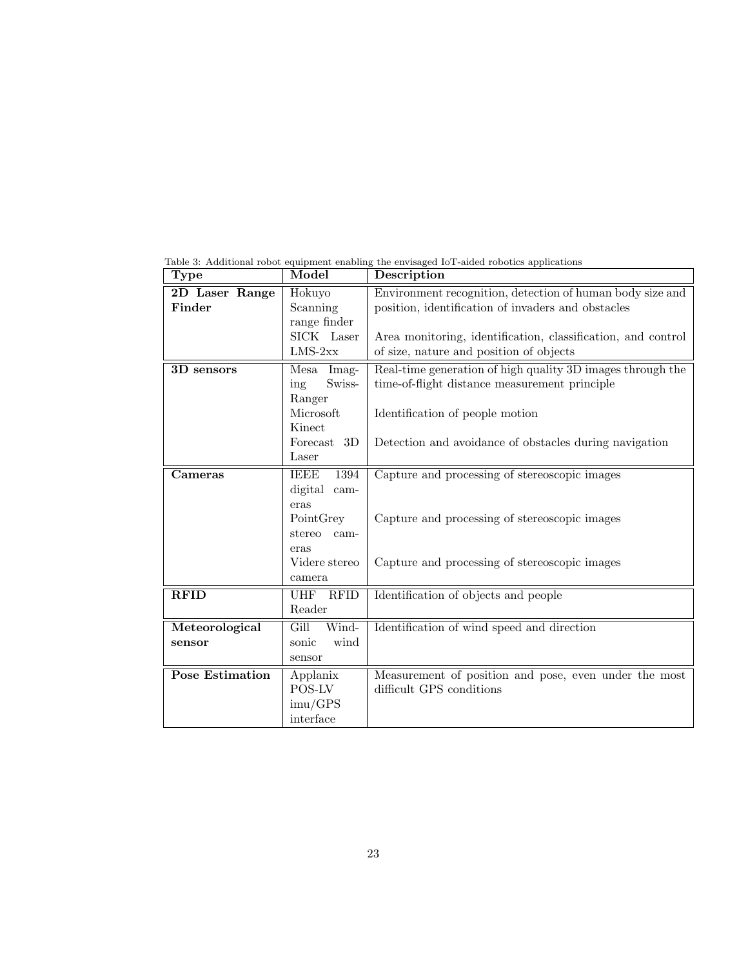| Type                   | Model                             | Description                                                  |
|------------------------|-----------------------------------|--------------------------------------------------------------|
| 2D Laser Range         | Hokuyo                            | Environment recognition, detection of human body size and    |
| Finder                 | Scanning                          | position, identification of invaders and obstacles           |
|                        | range finder                      |                                                              |
|                        | SICK Laser                        | Area monitoring, identification, classification, and control |
|                        | $LMS-2xx$                         | of size, nature and position of objects                      |
| 3D sensors             | $\overline{\text{Mesa}}$ Imag-    | Real-time generation of high quality 3D images through the   |
|                        | Swiss-<br>ing                     | time-of-flight distance measurement principle                |
|                        | Ranger                            |                                                              |
|                        | Microsoft                         | Identification of people motion                              |
|                        | Kinect                            |                                                              |
|                        | Forecast<br>3D                    | Detection and avoidance of obstacles during navigation       |
|                        | Laser                             |                                                              |
| Cameras                | <b>IEEE</b><br>1394               | Capture and processing of stereoscopic images                |
|                        | digital<br>cam-                   |                                                              |
|                        | eras                              |                                                              |
|                        | PointGrey<br>stereo<br>cam-       | Capture and processing of stereoscopic images                |
|                        | eras                              |                                                              |
|                        | Videre stereo                     | Capture and processing of stereoscopic images                |
|                        | camera                            |                                                              |
| <b>RFID</b>            | <b>RFID</b><br>UHF                | Identification of objects and people                         |
|                        | Reader                            |                                                              |
| Meteorological         | $\overline{\text{Gill}}$<br>Wind- | Identification of wind speed and direction                   |
| sensor                 | wind<br>sonic                     |                                                              |
|                        | sensor                            |                                                              |
| <b>Pose Estimation</b> | Applanix                          | Measurement of position and pose, even under the most        |
|                        | POS-LV                            | difficult GPS conditions                                     |
|                        | imu/GPS                           |                                                              |
|                        | interface                         |                                                              |

Table 3: Additional robot equipment enabling the envisaged IoT-aided robotics applications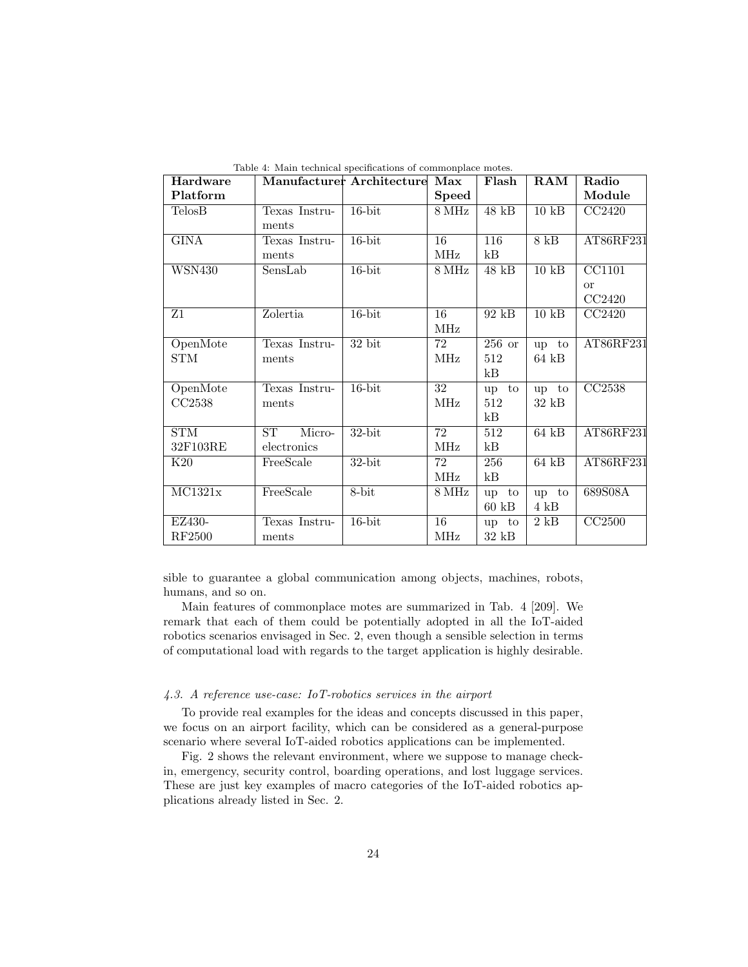| Hardware      |               | Manufacturer Architecture Max |                   | Flash              | ${\bf RAM}$        | Radio               |
|---------------|---------------|-------------------------------|-------------------|--------------------|--------------------|---------------------|
| Platform      |               |                               | <b>Speed</b>      |                    |                    | Module              |
| TelosB        | Texas Instru- | $16$ -bit                     | $8\,\mathrm{MHz}$ | $48$ kB            | 10kB               | CC2420              |
|               | ments         |                               |                   |                    |                    |                     |
| <b>GINA</b>   | Texas Instru- | $16$ -bit                     | 16                | 116                | $8$ kB             | AT86RF231           |
|               | ments         |                               | MHz               | kB                 |                    |                     |
| <b>WSN430</b> | SensLab       | $16$ -bit                     | $8\,\rm{MHz}$     | $48$ $\mathrm{kB}$ | 10 kB              | $\overline{CC1101}$ |
|               |               |                               |                   |                    |                    | <sub>or</sub>       |
|               |               |                               |                   |                    |                    | CC2420              |
| Z1            | Zolertia      | $16$ -bit                     | $\overline{16}$   | $92$ kB            | $10 \text{ kB}$    | CC2420              |
|               |               |                               | MHz               |                    |                    |                     |
| OpenMote      | Texas Instru- | $32\;$ bit                    | 72                | $256$ or           | up to              | AT86RF231           |
| STM           | ments         |                               | MHz               | 512                | $64$ kB            |                     |
|               |               |                               |                   | kВ                 |                    |                     |
| OpenMote      | Texas Instru- | $16$ -bit                     | 32                | up to              | up to              | CC2538              |
| CC2538        | ments         |                               | MHz               | 512                | $32$ $\mathrm{kB}$ |                     |
|               |               |                               |                   | kB                 |                    |                     |
| <b>STM</b>    | ST<br>Micro-  | $32$ -bit                     | $\overline{72}$   | 512                | $64$ kB            | AT86RF231           |
| 32F103RE      | electronics   |                               | MHz               | kB                 |                    |                     |
| K20           | FreeScale     | $32$ -bit                     | 72                | 256                | $64$ kB            | AT86RF231           |
|               |               |                               | MHz               | kB                 |                    |                     |
| MC1321x       | FreeScale     | $8-bit$                       | $8\,\rm{MHz}$     | up<br>to           | up to              | 689S08A             |
|               |               |                               |                   | $60$ kB            | $4 \text{ kB}$     |                     |
| EZ430-        | Texas Instru- | $16$ -bit                     | $\overline{16}$   | up to              | $2$ kB             | CC <sub>2500</sub>  |
| RF2500        | ments         |                               | MHz               | $32$ kB            |                    |                     |

Table 4: Main technical specifications of commonplace motes.

sible to guarantee a global communication among objects, machines, robots, humans, and so on.

Main features of commonplace motes are summarized in Tab. 4 [209]. We remark that each of them could be potentially adopted in all the IoT-aided robotics scenarios envisaged in Sec. 2, even though a sensible selection in terms of computational load with regards to the target application is highly desirable.

## 4.3. A reference use-case: IoT-robotics services in the airport

To provide real examples for the ideas and concepts discussed in this paper, we focus on an airport facility, which can be considered as a general-purpose scenario where several IoT-aided robotics applications can be implemented.

Fig. 2 shows the relevant environment, where we suppose to manage checkin, emergency, security control, boarding operations, and lost luggage services. These are just key examples of macro categories of the IoT-aided robotics applications already listed in Sec. 2.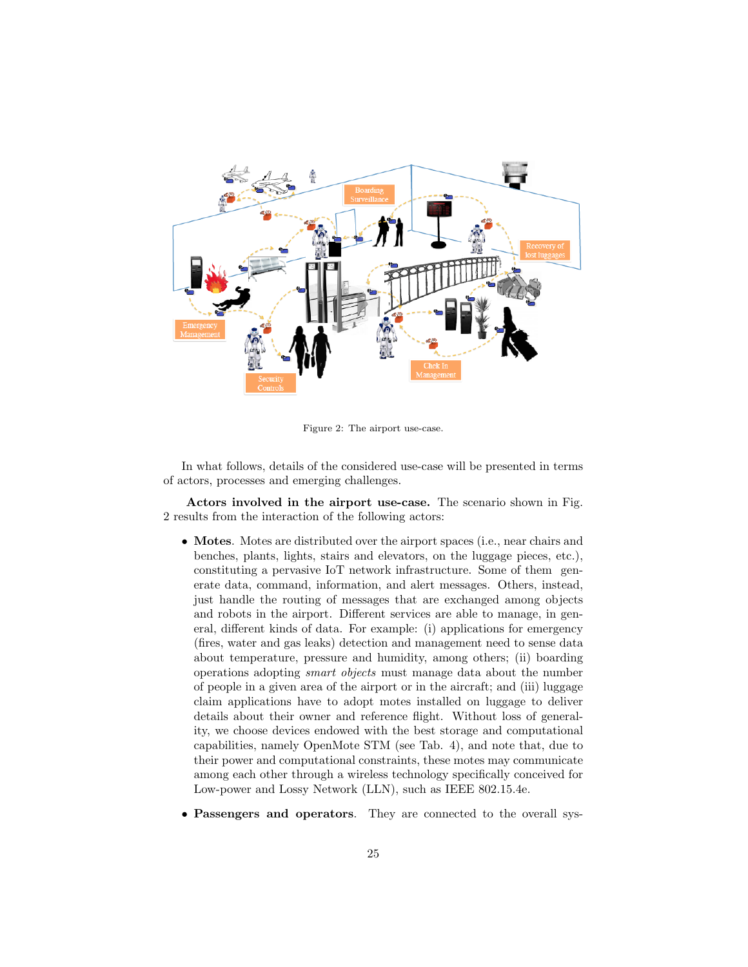

Figure 2: The airport use-case.

In what follows, details of the considered use-case will be presented in terms of actors, processes and emerging challenges.

Actors involved in the airport use-case. The scenario shown in Fig. 2 results from the interaction of the following actors:

- Motes. Motes are distributed over the airport spaces (i.e., near chairs and benches, plants, lights, stairs and elevators, on the luggage pieces, etc.), constituting a pervasive IoT network infrastructure. Some of them generate data, command, information, and alert messages. Others, instead, just handle the routing of messages that are exchanged among objects and robots in the airport. Different services are able to manage, in general, different kinds of data. For example: (i) applications for emergency (fires, water and gas leaks) detection and management need to sense data about temperature, pressure and humidity, among others; (ii) boarding operations adopting smart objects must manage data about the number of people in a given area of the airport or in the aircraft; and (iii) luggage claim applications have to adopt motes installed on luggage to deliver details about their owner and reference flight. Without loss of generality, we choose devices endowed with the best storage and computational capabilities, namely OpenMote STM (see Tab. 4), and note that, due to their power and computational constraints, these motes may communicate among each other through a wireless technology specifically conceived for Low-power and Lossy Network (LLN), such as IEEE 802.15.4e.
- Passengers and operators. They are connected to the overall sys-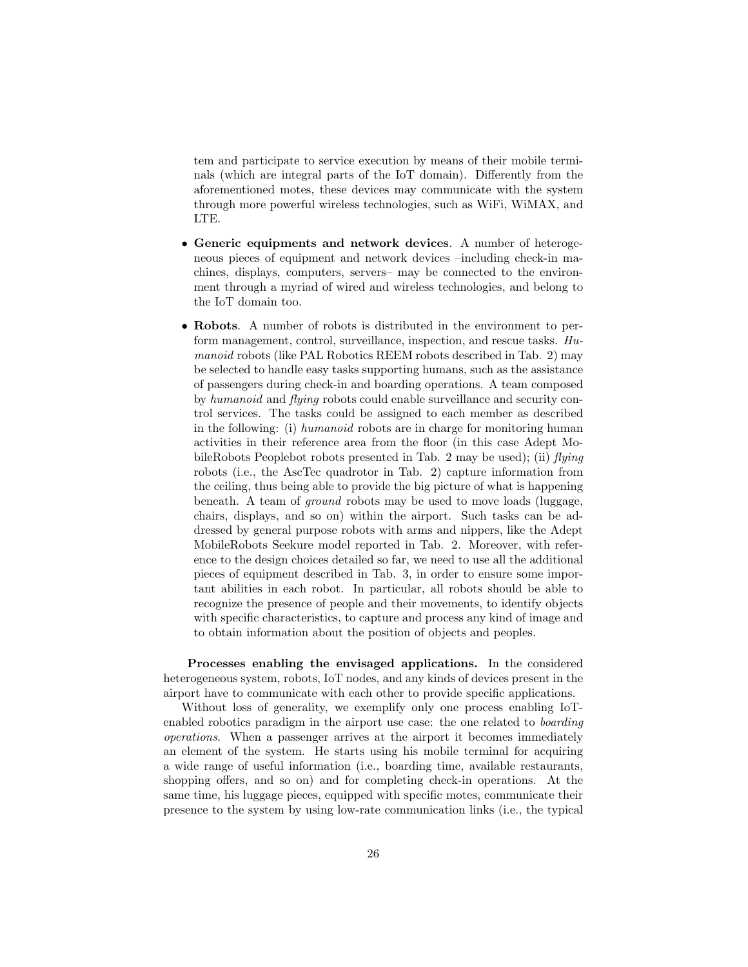tem and participate to service execution by means of their mobile terminals (which are integral parts of the IoT domain). Differently from the aforementioned motes, these devices may communicate with the system through more powerful wireless technologies, such as WiFi, WiMAX, and LTE.

- Generic equipments and network devices. A number of heterogeneous pieces of equipment and network devices –including check-in machines, displays, computers, servers– may be connected to the environment through a myriad of wired and wireless technologies, and belong to the IoT domain too.
- Robots. A number of robots is distributed in the environment to perform management, control, surveillance, inspection, and rescue tasks. Humanoid robots (like PAL Robotics REEM robots described in Tab. 2) may be selected to handle easy tasks supporting humans, such as the assistance of passengers during check-in and boarding operations. A team composed by humanoid and flying robots could enable surveillance and security control services. The tasks could be assigned to each member as described in the following: (i) humanoid robots are in charge for monitoring human activities in their reference area from the floor (in this case Adept MobileRobots Peoplebot robots presented in Tab. 2 may be used); (ii) flying robots (i.e., the AscTec quadrotor in Tab. 2) capture information from the ceiling, thus being able to provide the big picture of what is happening beneath. A team of ground robots may be used to move loads (luggage, chairs, displays, and so on) within the airport. Such tasks can be addressed by general purpose robots with arms and nippers, like the Adept MobileRobots Seekure model reported in Tab. 2. Moreover, with reference to the design choices detailed so far, we need to use all the additional pieces of equipment described in Tab. 3, in order to ensure some important abilities in each robot. In particular, all robots should be able to recognize the presence of people and their movements, to identify objects with specific characteristics, to capture and process any kind of image and to obtain information about the position of objects and peoples.

Processes enabling the envisaged applications. In the considered heterogeneous system, robots, IoT nodes, and any kinds of devices present in the airport have to communicate with each other to provide specific applications.

Without loss of generality, we exemplify only one process enabling IoTenabled robotics paradigm in the airport use case: the one related to boarding operations. When a passenger arrives at the airport it becomes immediately an element of the system. He starts using his mobile terminal for acquiring a wide range of useful information (i.e., boarding time, available restaurants, shopping offers, and so on) and for completing check-in operations. At the same time, his luggage pieces, equipped with specific motes, communicate their presence to the system by using low-rate communication links (i.e., the typical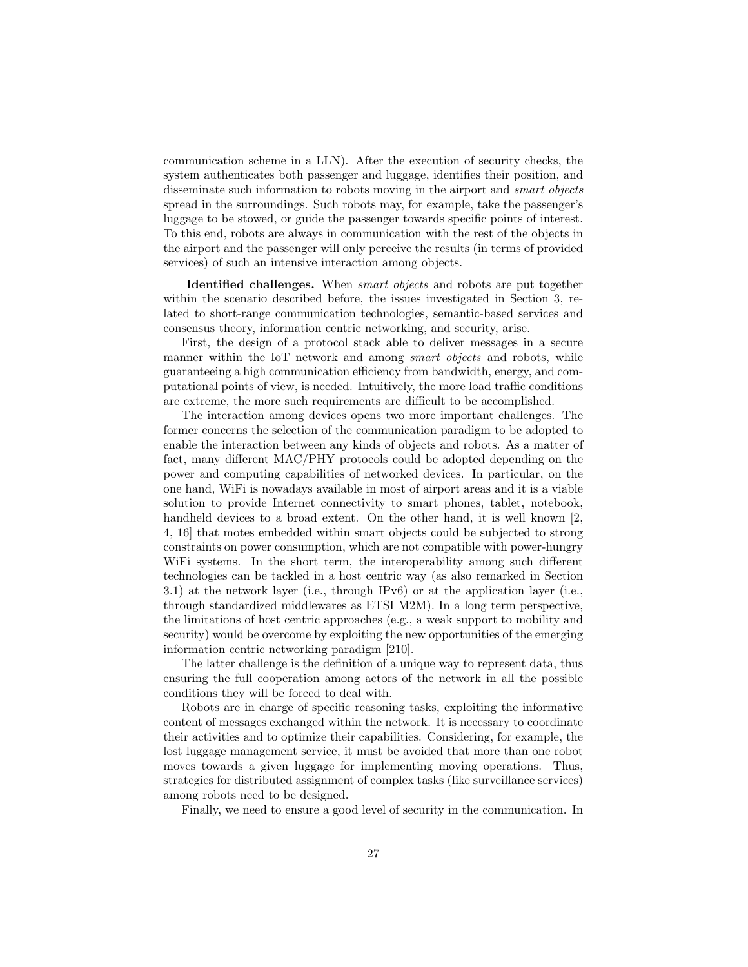communication scheme in a LLN). After the execution of security checks, the system authenticates both passenger and luggage, identifies their position, and disseminate such information to robots moving in the airport and *smart objects* spread in the surroundings. Such robots may, for example, take the passenger's luggage to be stowed, or guide the passenger towards specific points of interest. To this end, robots are always in communication with the rest of the objects in the airport and the passenger will only perceive the results (in terms of provided services) of such an intensive interaction among objects.

Identified challenges. When *smart objects* and robots are put together within the scenario described before, the issues investigated in Section 3, related to short-range communication technologies, semantic-based services and consensus theory, information centric networking, and security, arise.

First, the design of a protocol stack able to deliver messages in a secure manner within the IoT network and among *smart objects* and robots, while guaranteeing a high communication efficiency from bandwidth, energy, and computational points of view, is needed. Intuitively, the more load traffic conditions are extreme, the more such requirements are difficult to be accomplished.

The interaction among devices opens two more important challenges. The former concerns the selection of the communication paradigm to be adopted to enable the interaction between any kinds of objects and robots. As a matter of fact, many different MAC/PHY protocols could be adopted depending on the power and computing capabilities of networked devices. In particular, on the one hand, WiFi is nowadays available in most of airport areas and it is a viable solution to provide Internet connectivity to smart phones, tablet, notebook, handheld devices to a broad extent. On the other hand, it is well known [2, 4, 16] that motes embedded within smart objects could be subjected to strong constraints on power consumption, which are not compatible with power-hungry WiFi systems. In the short term, the interoperability among such different technologies can be tackled in a host centric way (as also remarked in Section 3.1) at the network layer (i.e., through IPv6) or at the application layer (i.e., through standardized middlewares as ETSI M2M). In a long term perspective, the limitations of host centric approaches (e.g., a weak support to mobility and security) would be overcome by exploiting the new opportunities of the emerging information centric networking paradigm [210].

The latter challenge is the definition of a unique way to represent data, thus ensuring the full cooperation among actors of the network in all the possible conditions they will be forced to deal with.

Robots are in charge of specific reasoning tasks, exploiting the informative content of messages exchanged within the network. It is necessary to coordinate their activities and to optimize their capabilities. Considering, for example, the lost luggage management service, it must be avoided that more than one robot moves towards a given luggage for implementing moving operations. Thus, strategies for distributed assignment of complex tasks (like surveillance services) among robots need to be designed.

Finally, we need to ensure a good level of security in the communication. In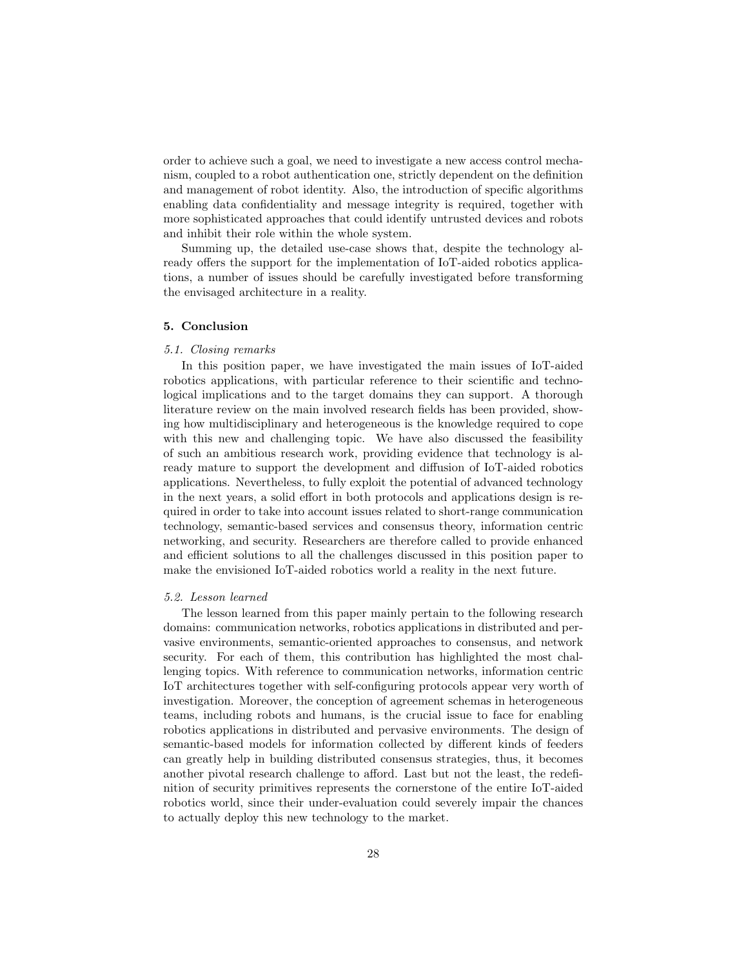order to achieve such a goal, we need to investigate a new access control mechanism, coupled to a robot authentication one, strictly dependent on the definition and management of robot identity. Also, the introduction of specific algorithms enabling data confidentiality and message integrity is required, together with more sophisticated approaches that could identify untrusted devices and robots and inhibit their role within the whole system.

Summing up, the detailed use-case shows that, despite the technology already offers the support for the implementation of IoT-aided robotics applications, a number of issues should be carefully investigated before transforming the envisaged architecture in a reality.

## 5. Conclusion

### 5.1. Closing remarks

In this position paper, we have investigated the main issues of IoT-aided robotics applications, with particular reference to their scientific and technological implications and to the target domains they can support. A thorough literature review on the main involved research fields has been provided, showing how multidisciplinary and heterogeneous is the knowledge required to cope with this new and challenging topic. We have also discussed the feasibility of such an ambitious research work, providing evidence that technology is already mature to support the development and diffusion of IoT-aided robotics applications. Nevertheless, to fully exploit the potential of advanced technology in the next years, a solid effort in both protocols and applications design is required in order to take into account issues related to short-range communication technology, semantic-based services and consensus theory, information centric networking, and security. Researchers are therefore called to provide enhanced and efficient solutions to all the challenges discussed in this position paper to make the envisioned IoT-aided robotics world a reality in the next future.

## 5.2. Lesson learned

The lesson learned from this paper mainly pertain to the following research domains: communication networks, robotics applications in distributed and pervasive environments, semantic-oriented approaches to consensus, and network security. For each of them, this contribution has highlighted the most challenging topics. With reference to communication networks, information centric IoT architectures together with self-configuring protocols appear very worth of investigation. Moreover, the conception of agreement schemas in heterogeneous teams, including robots and humans, is the crucial issue to face for enabling robotics applications in distributed and pervasive environments. The design of semantic-based models for information collected by different kinds of feeders can greatly help in building distributed consensus strategies, thus, it becomes another pivotal research challenge to afford. Last but not the least, the redefinition of security primitives represents the cornerstone of the entire IoT-aided robotics world, since their under-evaluation could severely impair the chances to actually deploy this new technology to the market.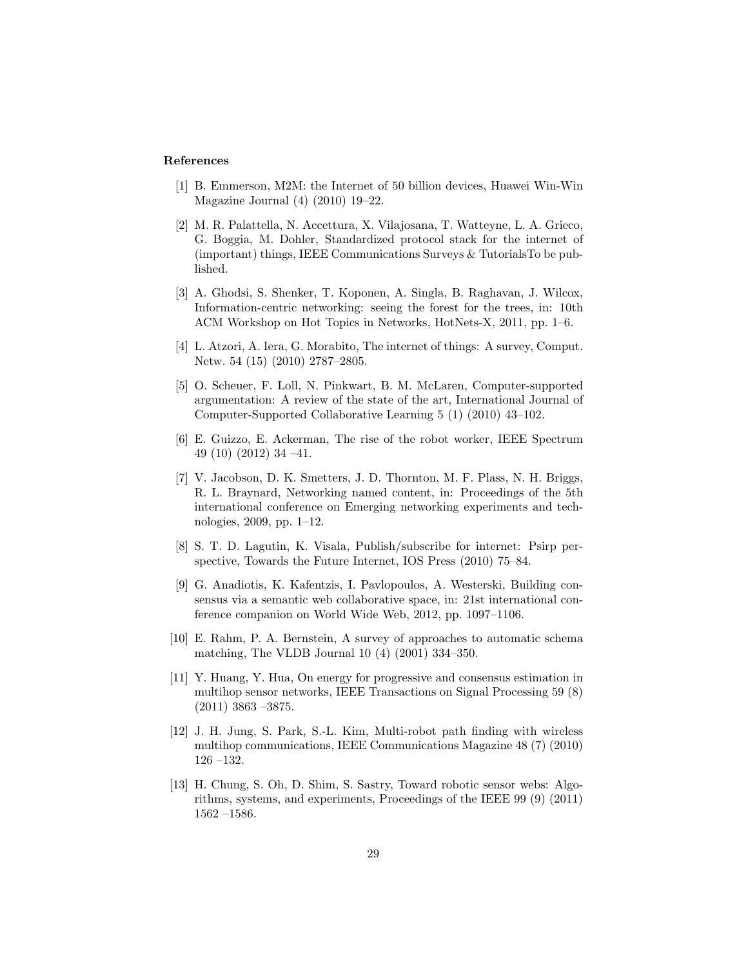## References

- [1] B. Emmerson, M2M: the Internet of 50 billion devices, Huawei Win-Win Magazine Journal (4) (2010) 19–22.
- [2] M. R. Palattella, N. Accettura, X. Vilajosana, T. Watteyne, L. A. Grieco, G. Boggia, M. Dohler, Standardized protocol stack for the internet of (important) things, IEEE Communications Surveys & TutorialsTo be published.
- [3] A. Ghodsi, S. Shenker, T. Koponen, A. Singla, B. Raghavan, J. Wilcox, Information-centric networking: seeing the forest for the trees, in: 10th ACM Workshop on Hot Topics in Networks, HotNets-X, 2011, pp. 1–6.
- [4] L. Atzori, A. Iera, G. Morabito, The internet of things: A survey, Comput. Netw. 54 (15) (2010) 2787–2805.
- [5] O. Scheuer, F. Loll, N. Pinkwart, B. M. McLaren, Computer-supported argumentation: A review of the state of the art, International Journal of Computer-Supported Collaborative Learning 5 (1) (2010) 43–102.
- [6] E. Guizzo, E. Ackerman, The rise of the robot worker, IEEE Spectrum 49 (10) (2012) 34 –41.
- [7] V. Jacobson, D. K. Smetters, J. D. Thornton, M. F. Plass, N. H. Briggs, R. L. Braynard, Networking named content, in: Proceedings of the 5th international conference on Emerging networking experiments and technologies, 2009, pp. 1–12.
- [8] S. T. D. Lagutin, K. Visala, Publish/subscribe for internet: Psirp perspective, Towards the Future Internet, IOS Press (2010) 75–84.
- [9] G. Anadiotis, K. Kafentzis, I. Pavlopoulos, A. Westerski, Building consensus via a semantic web collaborative space, in: 21st international conference companion on World Wide Web, 2012, pp. 1097–1106.
- [10] E. Rahm, P. A. Bernstein, A survey of approaches to automatic schema matching, The VLDB Journal 10 (4) (2001) 334–350.
- [11] Y. Huang, Y. Hua, On energy for progressive and consensus estimation in multihop sensor networks, IEEE Transactions on Signal Processing 59 (8) (2011) 3863 –3875.
- [12] J. H. Jung, S. Park, S.-L. Kim, Multi-robot path finding with wireless multihop communications, IEEE Communications Magazine 48 (7) (2010) 126 –132.
- [13] H. Chung, S. Oh, D. Shim, S. Sastry, Toward robotic sensor webs: Algorithms, systems, and experiments, Proceedings of the IEEE 99 (9) (2011) 1562 –1586.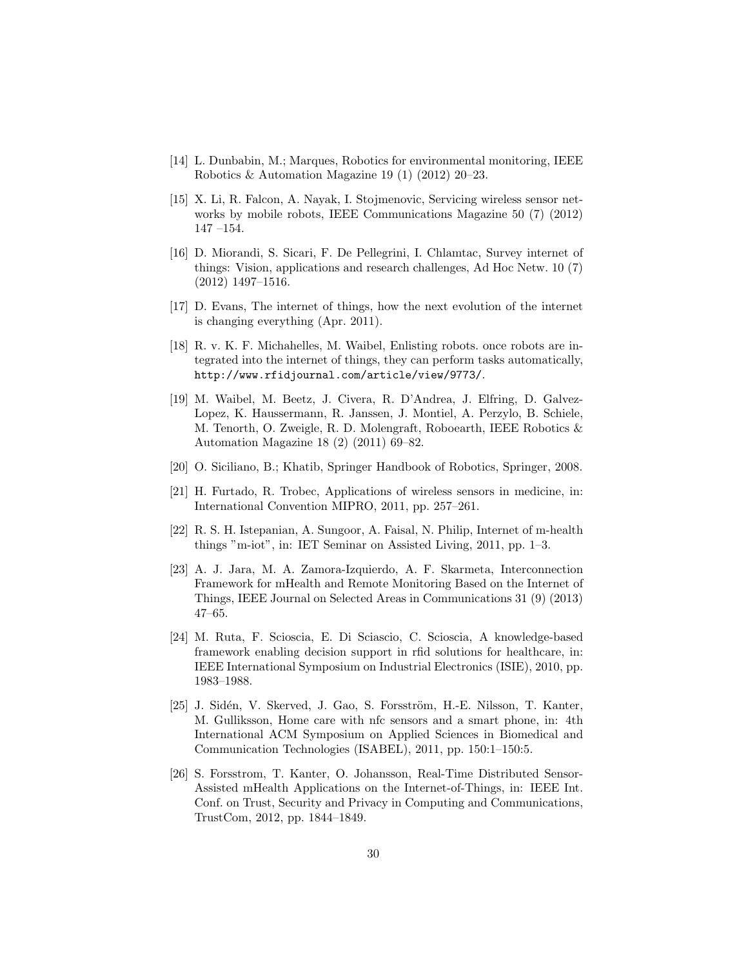- [14] L. Dunbabin, M.; Marques, Robotics for environmental monitoring, IEEE Robotics & Automation Magazine 19 (1) (2012) 20–23.
- [15] X. Li, R. Falcon, A. Nayak, I. Stojmenovic, Servicing wireless sensor networks by mobile robots, IEEE Communications Magazine 50 (7) (2012) 147 –154.
- [16] D. Miorandi, S. Sicari, F. De Pellegrini, I. Chlamtac, Survey internet of things: Vision, applications and research challenges, Ad Hoc Netw. 10 (7) (2012) 1497–1516.
- [17] D. Evans, The internet of things, how the next evolution of the internet is changing everything (Apr. 2011).
- [18] R. v. K. F. Michahelles, M. Waibel, Enlisting robots. once robots are integrated into the internet of things, they can perform tasks automatically, http://www.rfidjournal.com/article/view/9773/.
- [19] M. Waibel, M. Beetz, J. Civera, R. D'Andrea, J. Elfring, D. Galvez-Lopez, K. Haussermann, R. Janssen, J. Montiel, A. Perzylo, B. Schiele, M. Tenorth, O. Zweigle, R. D. Molengraft, Roboearth, IEEE Robotics & Automation Magazine 18 (2) (2011) 69–82.
- [20] O. Siciliano, B.; Khatib, Springer Handbook of Robotics, Springer, 2008.
- [21] H. Furtado, R. Trobec, Applications of wireless sensors in medicine, in: International Convention MIPRO, 2011, pp. 257–261.
- [22] R. S. H. Istepanian, A. Sungoor, A. Faisal, N. Philip, Internet of m-health things "m-iot", in: IET Seminar on Assisted Living, 2011, pp. 1–3.
- [23] A. J. Jara, M. A. Zamora-Izquierdo, A. F. Skarmeta, Interconnection Framework for mHealth and Remote Monitoring Based on the Internet of Things, IEEE Journal on Selected Areas in Communications 31 (9) (2013) 47–65.
- [24] M. Ruta, F. Scioscia, E. Di Sciascio, C. Scioscia, A knowledge-based framework enabling decision support in rfid solutions for healthcare, in: IEEE International Symposium on Industrial Electronics (ISIE), 2010, pp. 1983–1988.
- [25] J. Sidén, V. Skerved, J. Gao, S. Forsström, H.-E. Nilsson, T. Kanter, M. Gulliksson, Home care with nfc sensors and a smart phone, in: 4th International ACM Symposium on Applied Sciences in Biomedical and Communication Technologies (ISABEL), 2011, pp. 150:1–150:5.
- [26] S. Forsstrom, T. Kanter, O. Johansson, Real-Time Distributed Sensor-Assisted mHealth Applications on the Internet-of-Things, in: IEEE Int. Conf. on Trust, Security and Privacy in Computing and Communications, TrustCom, 2012, pp. 1844–1849.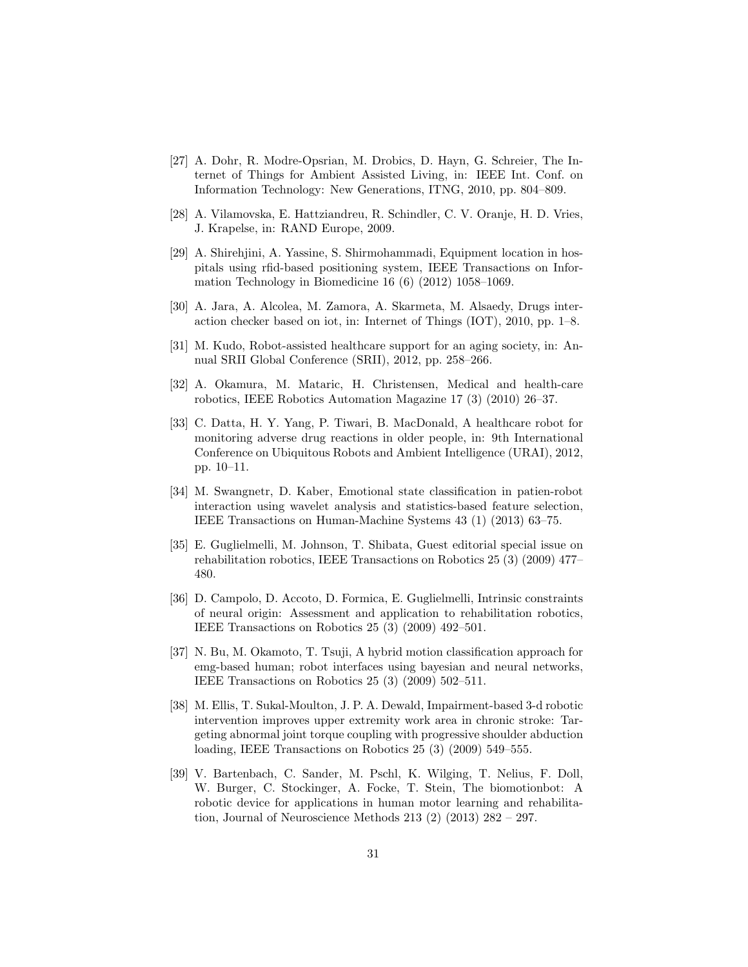- [27] A. Dohr, R. Modre-Opsrian, M. Drobics, D. Hayn, G. Schreier, The Internet of Things for Ambient Assisted Living, in: IEEE Int. Conf. on Information Technology: New Generations, ITNG, 2010, pp. 804–809.
- [28] A. Vilamovska, E. Hattziandreu, R. Schindler, C. V. Oranje, H. D. Vries, J. Krapelse, in: RAND Europe, 2009.
- [29] A. Shirehjini, A. Yassine, S. Shirmohammadi, Equipment location in hospitals using rfid-based positioning system, IEEE Transactions on Information Technology in Biomedicine 16 (6) (2012) 1058–1069.
- [30] A. Jara, A. Alcolea, M. Zamora, A. Skarmeta, M. Alsaedy, Drugs interaction checker based on iot, in: Internet of Things (IOT), 2010, pp. 1–8.
- [31] M. Kudo, Robot-assisted healthcare support for an aging society, in: Annual SRII Global Conference (SRII), 2012, pp. 258–266.
- [32] A. Okamura, M. Mataric, H. Christensen, Medical and health-care robotics, IEEE Robotics Automation Magazine 17 (3) (2010) 26–37.
- [33] C. Datta, H. Y. Yang, P. Tiwari, B. MacDonald, A healthcare robot for monitoring adverse drug reactions in older people, in: 9th International Conference on Ubiquitous Robots and Ambient Intelligence (URAI), 2012, pp. 10–11.
- [34] M. Swangnetr, D. Kaber, Emotional state classification in patien-robot interaction using wavelet analysis and statistics-based feature selection, IEEE Transactions on Human-Machine Systems 43 (1) (2013) 63–75.
- [35] E. Guglielmelli, M. Johnson, T. Shibata, Guest editorial special issue on rehabilitation robotics, IEEE Transactions on Robotics 25 (3) (2009) 477– 480.
- [36] D. Campolo, D. Accoto, D. Formica, E. Guglielmelli, Intrinsic constraints of neural origin: Assessment and application to rehabilitation robotics, IEEE Transactions on Robotics 25 (3) (2009) 492–501.
- [37] N. Bu, M. Okamoto, T. Tsuji, A hybrid motion classification approach for emg-based human; robot interfaces using bayesian and neural networks, IEEE Transactions on Robotics 25 (3) (2009) 502–511.
- [38] M. Ellis, T. Sukal-Moulton, J. P. A. Dewald, Impairment-based 3-d robotic intervention improves upper extremity work area in chronic stroke: Targeting abnormal joint torque coupling with progressive shoulder abduction loading, IEEE Transactions on Robotics 25 (3) (2009) 549–555.
- [39] V. Bartenbach, C. Sander, M. Pschl, K. Wilging, T. Nelius, F. Doll, W. Burger, C. Stockinger, A. Focke, T. Stein, The biomotionbot: A robotic device for applications in human motor learning and rehabilitation, Journal of Neuroscience Methods 213 (2) (2013) 282 – 297.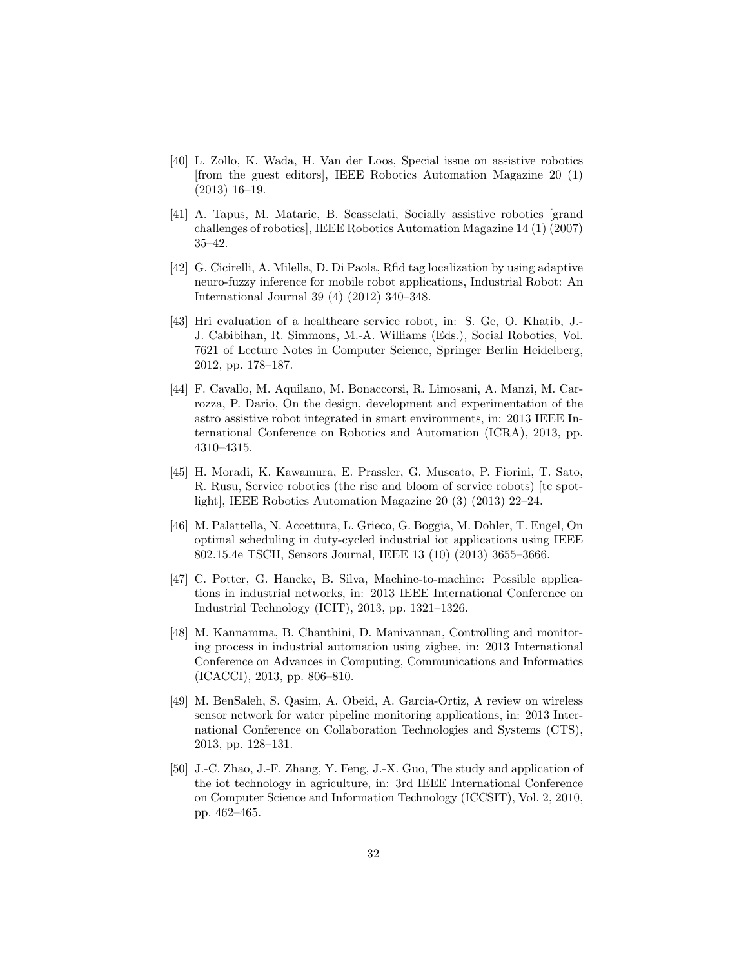- [40] L. Zollo, K. Wada, H. Van der Loos, Special issue on assistive robotics [from the guest editors], IEEE Robotics Automation Magazine 20 (1) (2013) 16–19.
- [41] A. Tapus, M. Mataric, B. Scasselati, Socially assistive robotics [grand challenges of robotics], IEEE Robotics Automation Magazine 14 (1) (2007) 35–42.
- [42] G. Cicirelli, A. Milella, D. Di Paola, Rfid tag localization by using adaptive neuro-fuzzy inference for mobile robot applications, Industrial Robot: An International Journal 39 (4) (2012) 340–348.
- [43] Hri evaluation of a healthcare service robot, in: S. Ge, O. Khatib, J.- J. Cabibihan, R. Simmons, M.-A. Williams (Eds.), Social Robotics, Vol. 7621 of Lecture Notes in Computer Science, Springer Berlin Heidelberg, 2012, pp. 178–187.
- [44] F. Cavallo, M. Aquilano, M. Bonaccorsi, R. Limosani, A. Manzi, M. Carrozza, P. Dario, On the design, development and experimentation of the astro assistive robot integrated in smart environments, in: 2013 IEEE International Conference on Robotics and Automation (ICRA), 2013, pp. 4310–4315.
- [45] H. Moradi, K. Kawamura, E. Prassler, G. Muscato, P. Fiorini, T. Sato, R. Rusu, Service robotics (the rise and bloom of service robots) [tc spotlight], IEEE Robotics Automation Magazine 20 (3) (2013) 22–24.
- [46] M. Palattella, N. Accettura, L. Grieco, G. Boggia, M. Dohler, T. Engel, On optimal scheduling in duty-cycled industrial iot applications using IEEE 802.15.4e TSCH, Sensors Journal, IEEE 13 (10) (2013) 3655–3666.
- [47] C. Potter, G. Hancke, B. Silva, Machine-to-machine: Possible applications in industrial networks, in: 2013 IEEE International Conference on Industrial Technology (ICIT), 2013, pp. 1321–1326.
- [48] M. Kannamma, B. Chanthini, D. Manivannan, Controlling and monitoring process in industrial automation using zigbee, in: 2013 International Conference on Advances in Computing, Communications and Informatics (ICACCI), 2013, pp. 806–810.
- [49] M. BenSaleh, S. Qasim, A. Obeid, A. Garcia-Ortiz, A review on wireless sensor network for water pipeline monitoring applications, in: 2013 International Conference on Collaboration Technologies and Systems (CTS), 2013, pp. 128–131.
- [50] J.-C. Zhao, J.-F. Zhang, Y. Feng, J.-X. Guo, The study and application of the iot technology in agriculture, in: 3rd IEEE International Conference on Computer Science and Information Technology (ICCSIT), Vol. 2, 2010, pp. 462–465.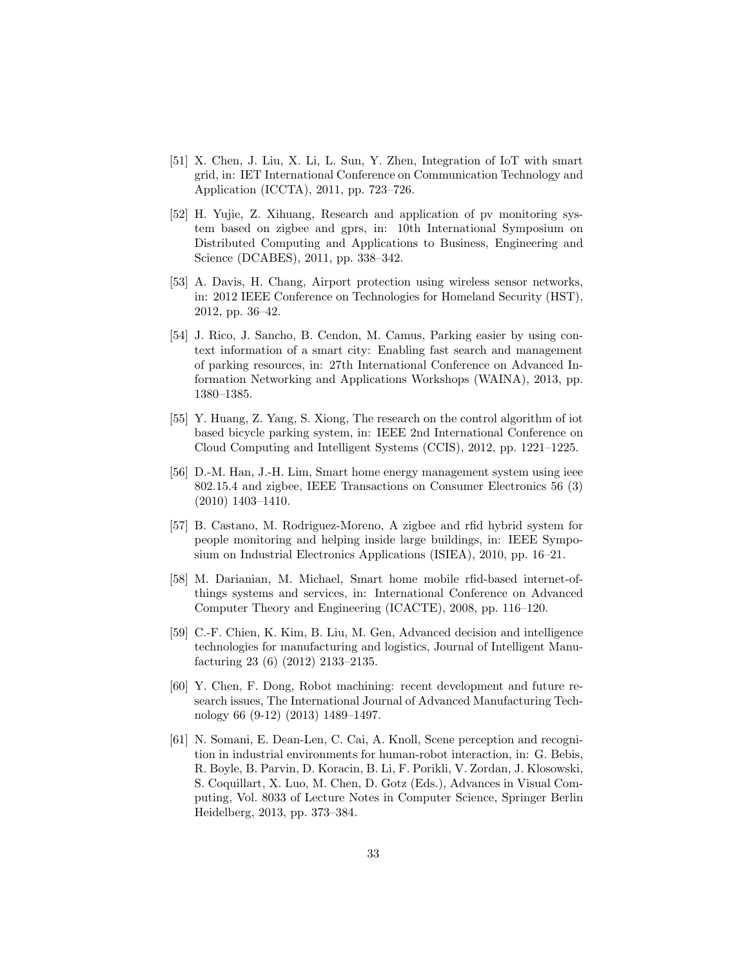- [51] X. Chen, J. Liu, X. Li, L. Sun, Y. Zhen, Integration of IoT with smart grid, in: IET International Conference on Communication Technology and Application (ICCTA), 2011, pp. 723–726.
- [52] H. Yujie, Z. Xihuang, Research and application of pv monitoring system based on zigbee and gprs, in: 10th International Symposium on Distributed Computing and Applications to Business, Engineering and Science (DCABES), 2011, pp. 338–342.
- [53] A. Davis, H. Chang, Airport protection using wireless sensor networks, in: 2012 IEEE Conference on Technologies for Homeland Security (HST), 2012, pp. 36–42.
- [54] J. Rico, J. Sancho, B. Cendon, M. Camus, Parking easier by using context information of a smart city: Enabling fast search and management of parking resources, in: 27th International Conference on Advanced Information Networking and Applications Workshops (WAINA), 2013, pp. 1380–1385.
- [55] Y. Huang, Z. Yang, S. Xiong, The research on the control algorithm of iot based bicycle parking system, in: IEEE 2nd International Conference on Cloud Computing and Intelligent Systems (CCIS), 2012, pp. 1221–1225.
- [56] D.-M. Han, J.-H. Lim, Smart home energy management system using ieee 802.15.4 and zigbee, IEEE Transactions on Consumer Electronics 56 (3) (2010) 1403–1410.
- [57] B. Castano, M. Rodriguez-Moreno, A zigbee and rfid hybrid system for people monitoring and helping inside large buildings, in: IEEE Symposium on Industrial Electronics Applications (ISIEA), 2010, pp. 16–21.
- [58] M. Darianian, M. Michael, Smart home mobile rfid-based internet-ofthings systems and services, in: International Conference on Advanced Computer Theory and Engineering (ICACTE), 2008, pp. 116–120.
- [59] C.-F. Chien, K. Kim, B. Liu, M. Gen, Advanced decision and intelligence technologies for manufacturing and logistics, Journal of Intelligent Manufacturing 23 (6) (2012) 2133–2135.
- [60] Y. Chen, F. Dong, Robot machining: recent development and future research issues, The International Journal of Advanced Manufacturing Technology 66 (9-12) (2013) 1489–1497.
- [61] N. Somani, E. Dean-Len, C. Cai, A. Knoll, Scene perception and recognition in industrial environments for human-robot interaction, in: G. Bebis, R. Boyle, B. Parvin, D. Koracin, B. Li, F. Porikli, V. Zordan, J. Klosowski, S. Coquillart, X. Luo, M. Chen, D. Gotz (Eds.), Advances in Visual Computing, Vol. 8033 of Lecture Notes in Computer Science, Springer Berlin Heidelberg, 2013, pp. 373–384.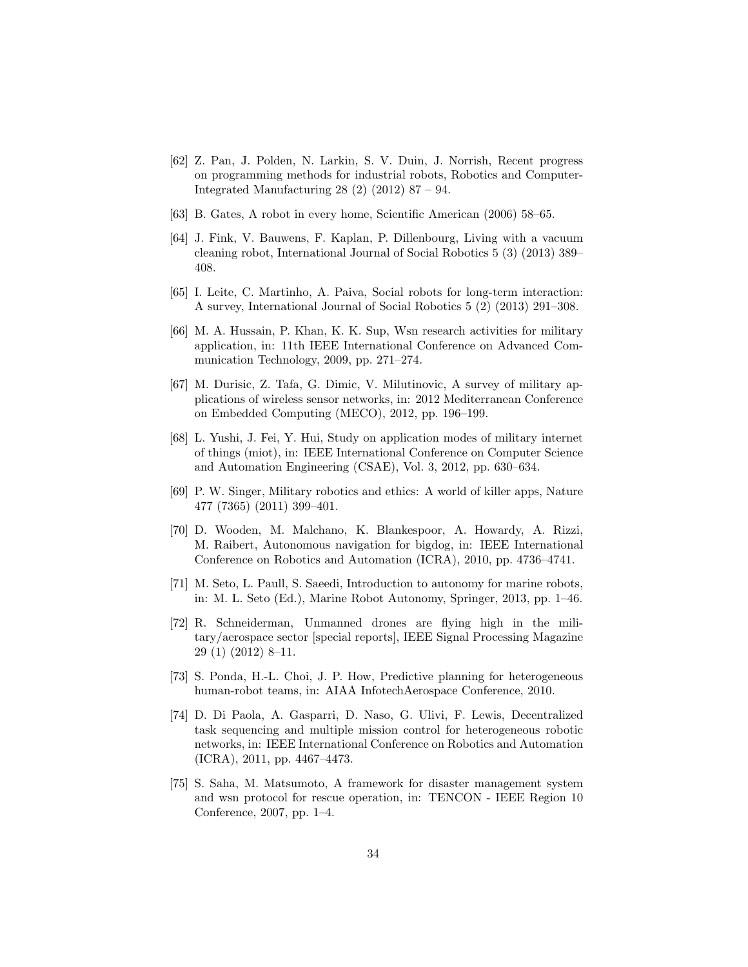- [62] Z. Pan, J. Polden, N. Larkin, S. V. Duin, J. Norrish, Recent progress on programming methods for industrial robots, Robotics and Computer-Integrated Manufacturing  $28(2)(2012)$   $87 - 94$ .
- [63] B. Gates, A robot in every home, Scientific American (2006) 58–65.
- [64] J. Fink, V. Bauwens, F. Kaplan, P. Dillenbourg, Living with a vacuum cleaning robot, International Journal of Social Robotics 5 (3) (2013) 389– 408.
- [65] I. Leite, C. Martinho, A. Paiva, Social robots for long-term interaction: A survey, International Journal of Social Robotics 5 (2) (2013) 291–308.
- [66] M. A. Hussain, P. Khan, K. K. Sup, Wsn research activities for military application, in: 11th IEEE International Conference on Advanced Communication Technology, 2009, pp. 271–274.
- [67] M. Durisic, Z. Tafa, G. Dimic, V. Milutinovic, A survey of military applications of wireless sensor networks, in: 2012 Mediterranean Conference on Embedded Computing (MECO), 2012, pp. 196–199.
- [68] L. Yushi, J. Fei, Y. Hui, Study on application modes of military internet of things (miot), in: IEEE International Conference on Computer Science and Automation Engineering (CSAE), Vol. 3, 2012, pp. 630–634.
- [69] P. W. Singer, Military robotics and ethics: A world of killer apps, Nature 477 (7365) (2011) 399–401.
- [70] D. Wooden, M. Malchano, K. Blankespoor, A. Howardy, A. Rizzi, M. Raibert, Autonomous navigation for bigdog, in: IEEE International Conference on Robotics and Automation (ICRA), 2010, pp. 4736–4741.
- [71] M. Seto, L. Paull, S. Saeedi, Introduction to autonomy for marine robots, in: M. L. Seto (Ed.), Marine Robot Autonomy, Springer, 2013, pp. 1–46.
- [72] R. Schneiderman, Unmanned drones are flying high in the military/aerospace sector [special reports], IEEE Signal Processing Magazine 29 (1) (2012) 8–11.
- [73] S. Ponda, H.-L. Choi, J. P. How, Predictive planning for heterogeneous human-robot teams, in: AIAA InfotechAerospace Conference, 2010.
- [74] D. Di Paola, A. Gasparri, D. Naso, G. Ulivi, F. Lewis, Decentralized task sequencing and multiple mission control for heterogeneous robotic networks, in: IEEE International Conference on Robotics and Automation (ICRA), 2011, pp. 4467–4473.
- [75] S. Saha, M. Matsumoto, A framework for disaster management system and wsn protocol for rescue operation, in: TENCON - IEEE Region 10 Conference, 2007, pp. 1–4.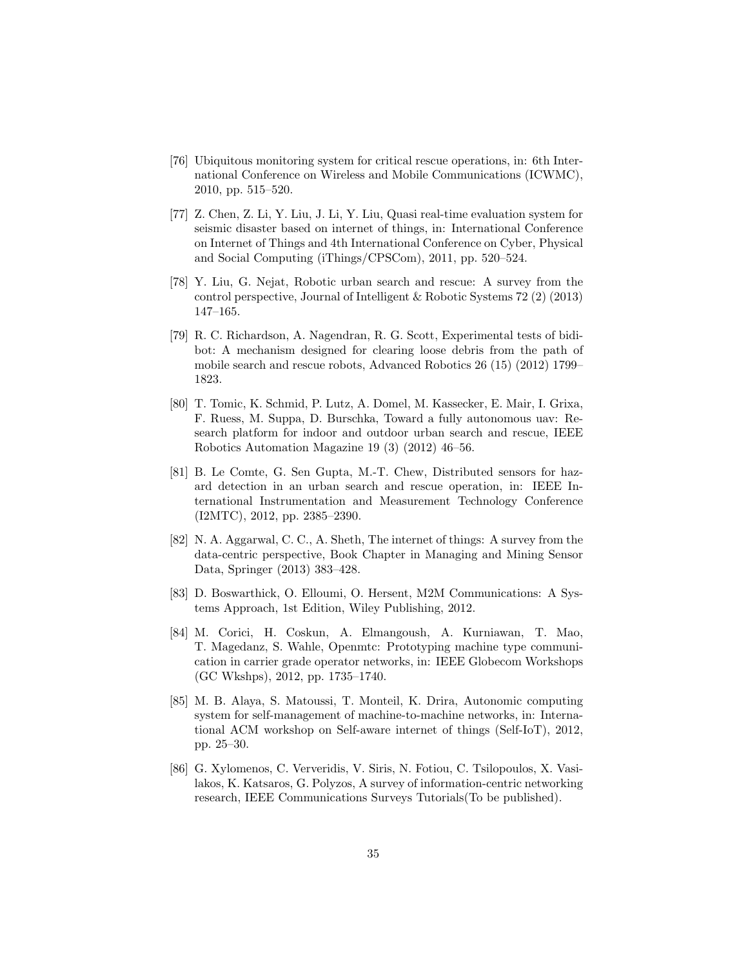- [76] Ubiquitous monitoring system for critical rescue operations, in: 6th International Conference on Wireless and Mobile Communications (ICWMC), 2010, pp. 515–520.
- [77] Z. Chen, Z. Li, Y. Liu, J. Li, Y. Liu, Quasi real-time evaluation system for seismic disaster based on internet of things, in: International Conference on Internet of Things and 4th International Conference on Cyber, Physical and Social Computing (iThings/CPSCom), 2011, pp. 520–524.
- [78] Y. Liu, G. Nejat, Robotic urban search and rescue: A survey from the control perspective, Journal of Intelligent & Robotic Systems 72 (2) (2013) 147–165.
- [79] R. C. Richardson, A. Nagendran, R. G. Scott, Experimental tests of bidibot: A mechanism designed for clearing loose debris from the path of mobile search and rescue robots, Advanced Robotics 26 (15) (2012) 1799– 1823.
- [80] T. Tomic, K. Schmid, P. Lutz, A. Domel, M. Kassecker, E. Mair, I. Grixa, F. Ruess, M. Suppa, D. Burschka, Toward a fully autonomous uav: Research platform for indoor and outdoor urban search and rescue, IEEE Robotics Automation Magazine 19 (3) (2012) 46–56.
- [81] B. Le Comte, G. Sen Gupta, M.-T. Chew, Distributed sensors for hazard detection in an urban search and rescue operation, in: IEEE International Instrumentation and Measurement Technology Conference (I2MTC), 2012, pp. 2385–2390.
- [82] N. A. Aggarwal, C. C., A. Sheth, The internet of things: A survey from the data-centric perspective, Book Chapter in Managing and Mining Sensor Data, Springer (2013) 383–428.
- [83] D. Boswarthick, O. Elloumi, O. Hersent, M2M Communications: A Systems Approach, 1st Edition, Wiley Publishing, 2012.
- [84] M. Corici, H. Coskun, A. Elmangoush, A. Kurniawan, T. Mao, T. Magedanz, S. Wahle, Openmtc: Prototyping machine type communication in carrier grade operator networks, in: IEEE Globecom Workshops (GC Wkshps), 2012, pp. 1735–1740.
- [85] M. B. Alaya, S. Matoussi, T. Monteil, K. Drira, Autonomic computing system for self-management of machine-to-machine networks, in: International ACM workshop on Self-aware internet of things (Self-IoT), 2012, pp. 25–30.
- [86] G. Xylomenos, C. Ververidis, V. Siris, N. Fotiou, C. Tsilopoulos, X. Vasilakos, K. Katsaros, G. Polyzos, A survey of information-centric networking research, IEEE Communications Surveys Tutorials(To be published).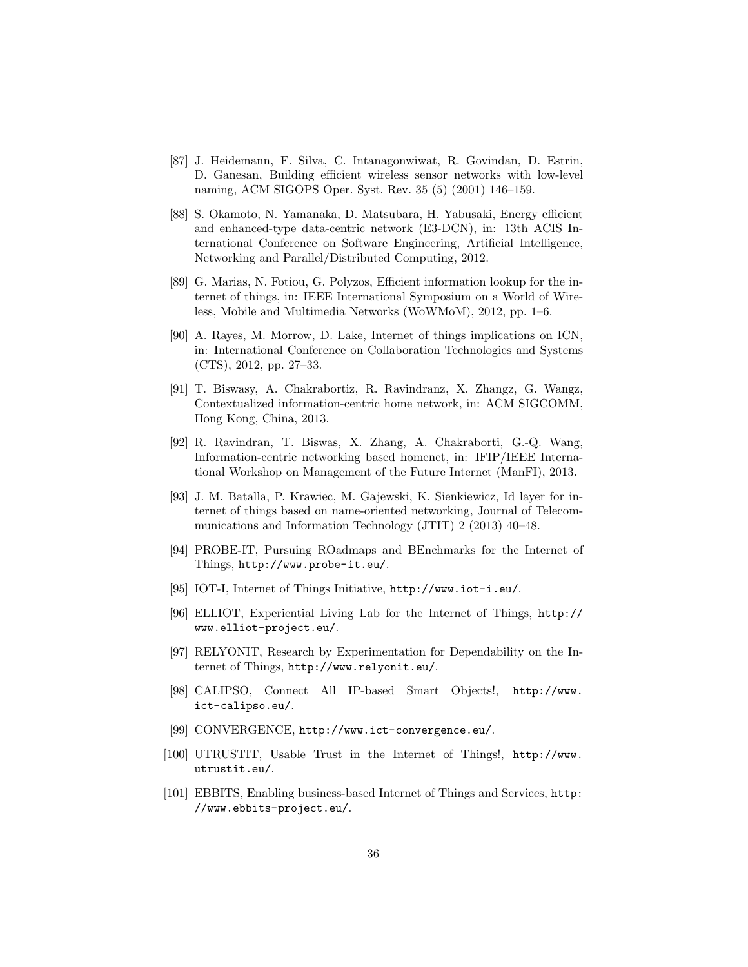- [87] J. Heidemann, F. Silva, C. Intanagonwiwat, R. Govindan, D. Estrin, D. Ganesan, Building efficient wireless sensor networks with low-level naming, ACM SIGOPS Oper. Syst. Rev. 35 (5) (2001) 146–159.
- [88] S. Okamoto, N. Yamanaka, D. Matsubara, H. Yabusaki, Energy efficient and enhanced-type data-centric network (E3-DCN), in: 13th ACIS International Conference on Software Engineering, Artificial Intelligence, Networking and Parallel/Distributed Computing, 2012.
- [89] G. Marias, N. Fotiou, G. Polyzos, Efficient information lookup for the internet of things, in: IEEE International Symposium on a World of Wireless, Mobile and Multimedia Networks (WoWMoM), 2012, pp. 1–6.
- [90] A. Rayes, M. Morrow, D. Lake, Internet of things implications on ICN, in: International Conference on Collaboration Technologies and Systems (CTS), 2012, pp. 27–33.
- [91] T. Biswasy, A. Chakrabortiz, R. Ravindranz, X. Zhangz, G. Wangz, Contextualized information-centric home network, in: ACM SIGCOMM, Hong Kong, China, 2013.
- [92] R. Ravindran, T. Biswas, X. Zhang, A. Chakraborti, G.-Q. Wang, Information-centric networking based homenet, in: IFIP/IEEE International Workshop on Management of the Future Internet (ManFI), 2013.
- [93] J. M. Batalla, P. Krawiec, M. Gajewski, K. Sienkiewicz, Id layer for internet of things based on name-oriented networking, Journal of Telecommunications and Information Technology (JTIT) 2 (2013) 40–48.
- [94] PROBE-IT, Pursuing ROadmaps and BEnchmarks for the Internet of Things, http://www.probe-it.eu/.
- [95] IOT-I, Internet of Things Initiative, http://www.iot-i.eu/.
- [96] ELLIOT, Experiential Living Lab for the Internet of Things, http:// www.elliot-project.eu/.
- [97] RELYONIT, Research by Experimentation for Dependability on the Internet of Things, http://www.relyonit.eu/.
- [98] CALIPSO, Connect All IP-based Smart Objects!, http://www. ict-calipso.eu/.
- [99] CONVERGENCE, http://www.ict-convergence.eu/.
- [100] UTRUSTIT, Usable Trust in the Internet of Things!, http://www. utrustit.eu/.
- [101] EBBITS, Enabling business-based Internet of Things and Services, http: //www.ebbits-project.eu/.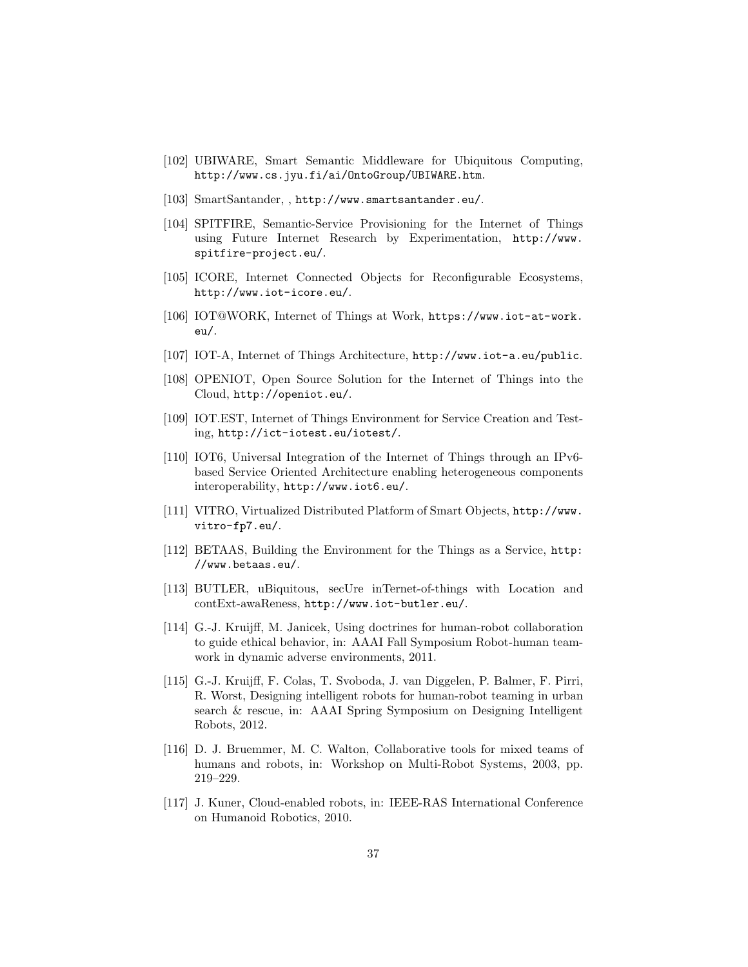- [102] UBIWARE, Smart Semantic Middleware for Ubiquitous Computing, http://www.cs.jyu.fi/ai/OntoGroup/UBIWARE.htm.
- [103] SmartSantander, , http://www.smartsantander.eu/.
- [104] SPITFIRE, Semantic-Service Provisioning for the Internet of Things using Future Internet Research by Experimentation, http://www. spitfire-project.eu/.
- [105] ICORE, Internet Connected Objects for Reconfigurable Ecosystems, http://www.iot-icore.eu/.
- [106] IOT@WORK, Internet of Things at Work, https://www.iot-at-work. eu/.
- [107] IOT-A, Internet of Things Architecture, http://www.iot-a.eu/public.
- [108] OPENIOT, Open Source Solution for the Internet of Things into the Cloud, http://openiot.eu/.
- [109] IOT.EST, Internet of Things Environment for Service Creation and Testing, http://ict-iotest.eu/iotest/.
- [110] IOT6, Universal Integration of the Internet of Things through an IPv6 based Service Oriented Architecture enabling heterogeneous components interoperability, http://www.iot6.eu/.
- [111] VITRO, Virtualized Distributed Platform of Smart Objects, http://www. vitro-fp7.eu/.
- [112] BETAAS, Building the Environment for the Things as a Service, http: //www.betaas.eu/.
- [113] BUTLER, uBiquitous, secUre inTernet-of-things with Location and contExt-awaReness, http://www.iot-butler.eu/.
- [114] G.-J. Kruijff, M. Janicek, Using doctrines for human-robot collaboration to guide ethical behavior, in: AAAI Fall Symposium Robot-human teamwork in dynamic adverse environments, 2011.
- [115] G.-J. Kruijff, F. Colas, T. Svoboda, J. van Diggelen, P. Balmer, F. Pirri, R. Worst, Designing intelligent robots for human-robot teaming in urban search & rescue, in: AAAI Spring Symposium on Designing Intelligent Robots, 2012.
- [116] D. J. Bruemmer, M. C. Walton, Collaborative tools for mixed teams of humans and robots, in: Workshop on Multi-Robot Systems, 2003, pp. 219–229.
- [117] J. Kuner, Cloud-enabled robots, in: IEEE-RAS International Conference on Humanoid Robotics, 2010.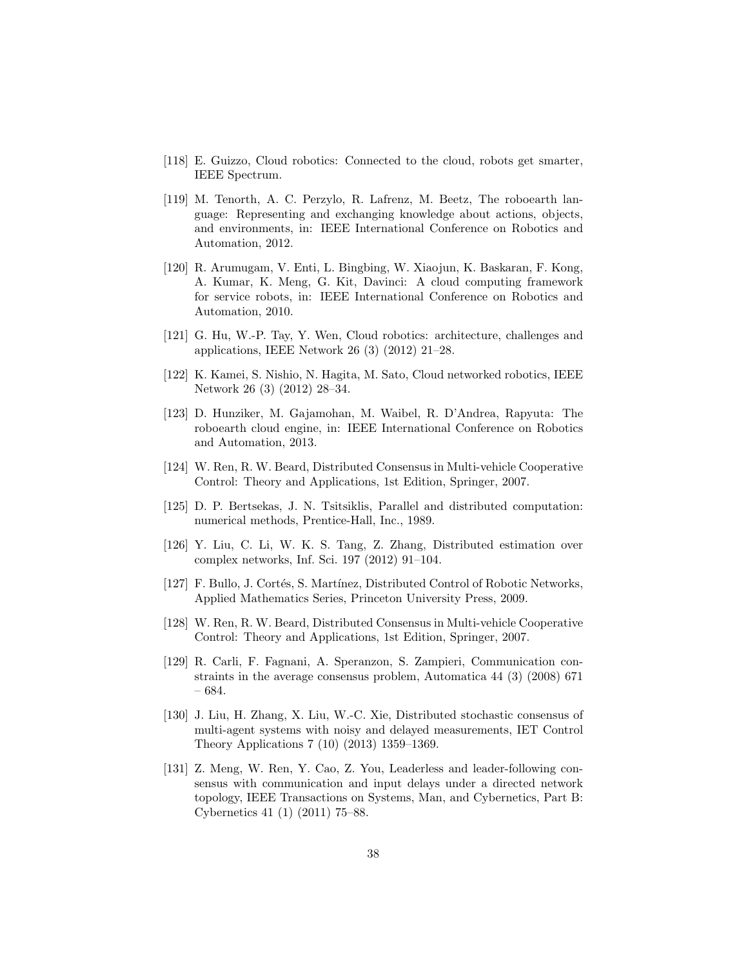- [118] E. Guizzo, Cloud robotics: Connected to the cloud, robots get smarter, IEEE Spectrum.
- [119] M. Tenorth, A. C. Perzylo, R. Lafrenz, M. Beetz, The roboearth language: Representing and exchanging knowledge about actions, objects, and environments, in: IEEE International Conference on Robotics and Automation, 2012.
- [120] R. Arumugam, V. Enti, L. Bingbing, W. Xiaojun, K. Baskaran, F. Kong, A. Kumar, K. Meng, G. Kit, Davinci: A cloud computing framework for service robots, in: IEEE International Conference on Robotics and Automation, 2010.
- [121] G. Hu, W.-P. Tay, Y. Wen, Cloud robotics: architecture, challenges and applications, IEEE Network 26 (3) (2012) 21–28.
- [122] K. Kamei, S. Nishio, N. Hagita, M. Sato, Cloud networked robotics, IEEE Network 26 (3) (2012) 28–34.
- [123] D. Hunziker, M. Gajamohan, M. Waibel, R. D'Andrea, Rapyuta: The roboearth cloud engine, in: IEEE International Conference on Robotics and Automation, 2013.
- [124] W. Ren, R. W. Beard, Distributed Consensus in Multi-vehicle Cooperative Control: Theory and Applications, 1st Edition, Springer, 2007.
- [125] D. P. Bertsekas, J. N. Tsitsiklis, Parallel and distributed computation: numerical methods, Prentice-Hall, Inc., 1989.
- [126] Y. Liu, C. Li, W. K. S. Tang, Z. Zhang, Distributed estimation over complex networks, Inf. Sci. 197 (2012) 91–104.
- [127] F. Bullo, J. Cortés, S. Martínez, Distributed Control of Robotic Networks, Applied Mathematics Series, Princeton University Press, 2009.
- [128] W. Ren, R. W. Beard, Distributed Consensus in Multi-vehicle Cooperative Control: Theory and Applications, 1st Edition, Springer, 2007.
- [129] R. Carli, F. Fagnani, A. Speranzon, S. Zampieri, Communication constraints in the average consensus problem, Automatica 44 (3) (2008) 671 – 684.
- [130] J. Liu, H. Zhang, X. Liu, W.-C. Xie, Distributed stochastic consensus of multi-agent systems with noisy and delayed measurements, IET Control Theory Applications 7 (10) (2013) 1359–1369.
- [131] Z. Meng, W. Ren, Y. Cao, Z. You, Leaderless and leader-following consensus with communication and input delays under a directed network topology, IEEE Transactions on Systems, Man, and Cybernetics, Part B: Cybernetics 41 (1) (2011) 75–88.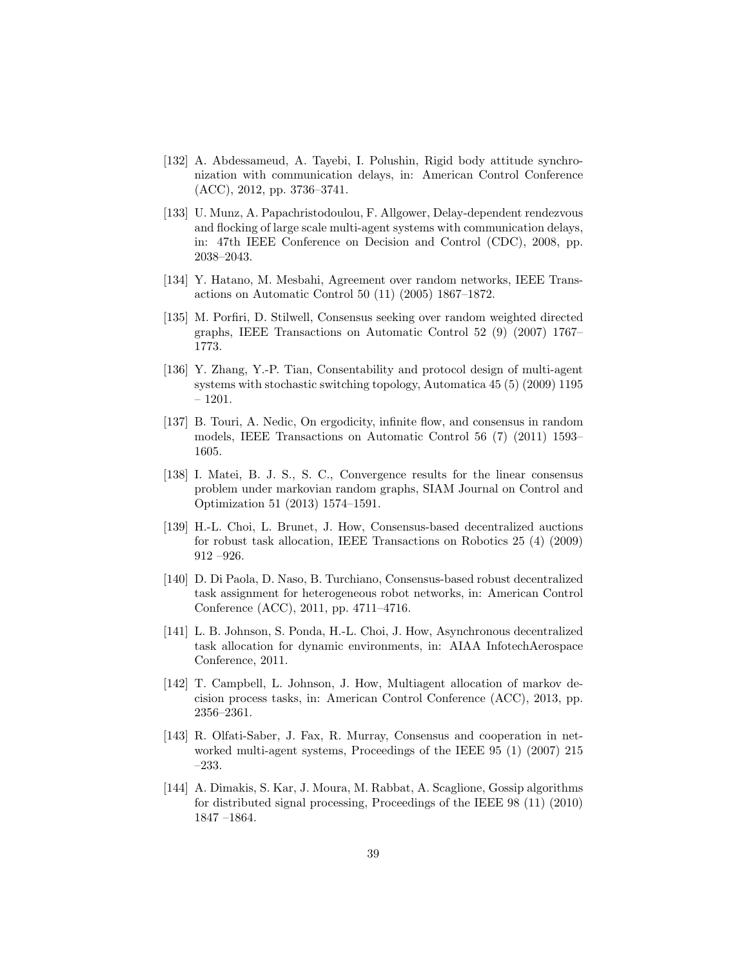- [132] A. Abdessameud, A. Tayebi, I. Polushin, Rigid body attitude synchronization with communication delays, in: American Control Conference (ACC), 2012, pp. 3736–3741.
- [133] U. Munz, A. Papachristodoulou, F. Allgower, Delay-dependent rendezvous and flocking of large scale multi-agent systems with communication delays, in: 47th IEEE Conference on Decision and Control (CDC), 2008, pp. 2038–2043.
- [134] Y. Hatano, M. Mesbahi, Agreement over random networks, IEEE Transactions on Automatic Control 50 (11) (2005) 1867–1872.
- [135] M. Porfiri, D. Stilwell, Consensus seeking over random weighted directed graphs, IEEE Transactions on Automatic Control 52 (9) (2007) 1767– 1773.
- [136] Y. Zhang, Y.-P. Tian, Consentability and protocol design of multi-agent systems with stochastic switching topology, Automatica 45 (5) (2009) 1195 – 1201.
- [137] B. Touri, A. Nedic, On ergodicity, infinite flow, and consensus in random models, IEEE Transactions on Automatic Control 56 (7) (2011) 1593– 1605.
- [138] I. Matei, B. J. S., S. C., Convergence results for the linear consensus problem under markovian random graphs, SIAM Journal on Control and Optimization 51 (2013) 1574–1591.
- [139] H.-L. Choi, L. Brunet, J. How, Consensus-based decentralized auctions for robust task allocation, IEEE Transactions on Robotics 25 (4) (2009) 912 –926.
- [140] D. Di Paola, D. Naso, B. Turchiano, Consensus-based robust decentralized task assignment for heterogeneous robot networks, in: American Control Conference (ACC), 2011, pp. 4711–4716.
- [141] L. B. Johnson, S. Ponda, H.-L. Choi, J. How, Asynchronous decentralized task allocation for dynamic environments, in: AIAA InfotechAerospace Conference, 2011.
- [142] T. Campbell, L. Johnson, J. How, Multiagent allocation of markov decision process tasks, in: American Control Conference (ACC), 2013, pp. 2356–2361.
- [143] R. Olfati-Saber, J. Fax, R. Murray, Consensus and cooperation in networked multi-agent systems, Proceedings of the IEEE 95 (1) (2007) 215 –233.
- [144] A. Dimakis, S. Kar, J. Moura, M. Rabbat, A. Scaglione, Gossip algorithms for distributed signal processing, Proceedings of the IEEE 98 (11) (2010) 1847 –1864.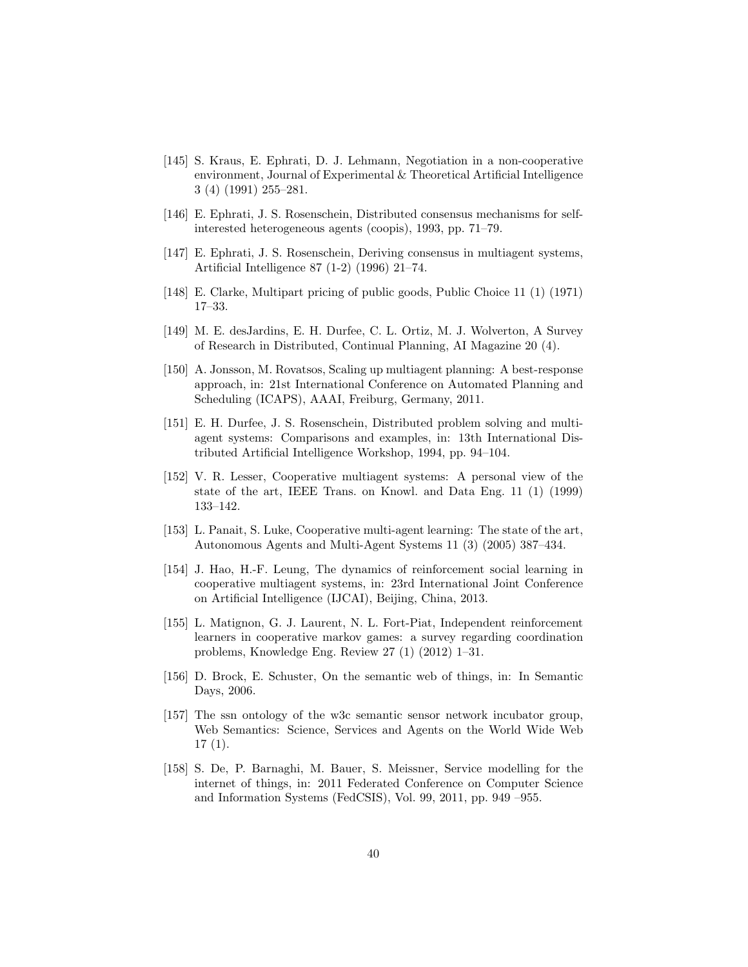- [145] S. Kraus, E. Ephrati, D. J. Lehmann, Negotiation in a non-cooperative environment, Journal of Experimental & Theoretical Artificial Intelligence 3 (4) (1991) 255–281.
- [146] E. Ephrati, J. S. Rosenschein, Distributed consensus mechanisms for selfinterested heterogeneous agents (coopis), 1993, pp. 71–79.
- [147] E. Ephrati, J. S. Rosenschein, Deriving consensus in multiagent systems, Artificial Intelligence 87 (1-2) (1996) 21–74.
- [148] E. Clarke, Multipart pricing of public goods, Public Choice 11 (1) (1971) 17–33.
- [149] M. E. desJardins, E. H. Durfee, C. L. Ortiz, M. J. Wolverton, A Survey of Research in Distributed, Continual Planning, AI Magazine 20 (4).
- [150] A. Jonsson, M. Rovatsos, Scaling up multiagent planning: A best-response approach, in: 21st International Conference on Automated Planning and Scheduling (ICAPS), AAAI, Freiburg, Germany, 2011.
- [151] E. H. Durfee, J. S. Rosenschein, Distributed problem solving and multiagent systems: Comparisons and examples, in: 13th International Distributed Artificial Intelligence Workshop, 1994, pp. 94–104.
- [152] V. R. Lesser, Cooperative multiagent systems: A personal view of the state of the art, IEEE Trans. on Knowl. and Data Eng. 11 (1) (1999) 133–142.
- [153] L. Panait, S. Luke, Cooperative multi-agent learning: The state of the art, Autonomous Agents and Multi-Agent Systems 11 (3) (2005) 387–434.
- [154] J. Hao, H.-F. Leung, The dynamics of reinforcement social learning in cooperative multiagent systems, in: 23rd International Joint Conference on Artificial Intelligence (IJCAI), Beijing, China, 2013.
- [155] L. Matignon, G. J. Laurent, N. L. Fort-Piat, Independent reinforcement learners in cooperative markov games: a survey regarding coordination problems, Knowledge Eng. Review 27 (1) (2012) 1–31.
- [156] D. Brock, E. Schuster, On the semantic web of things, in: In Semantic Days, 2006.
- [157] The ssn ontology of the w3c semantic sensor network incubator group, Web Semantics: Science, Services and Agents on the World Wide Web 17 (1).
- [158] S. De, P. Barnaghi, M. Bauer, S. Meissner, Service modelling for the internet of things, in: 2011 Federated Conference on Computer Science and Information Systems (FedCSIS), Vol. 99, 2011, pp. 949 –955.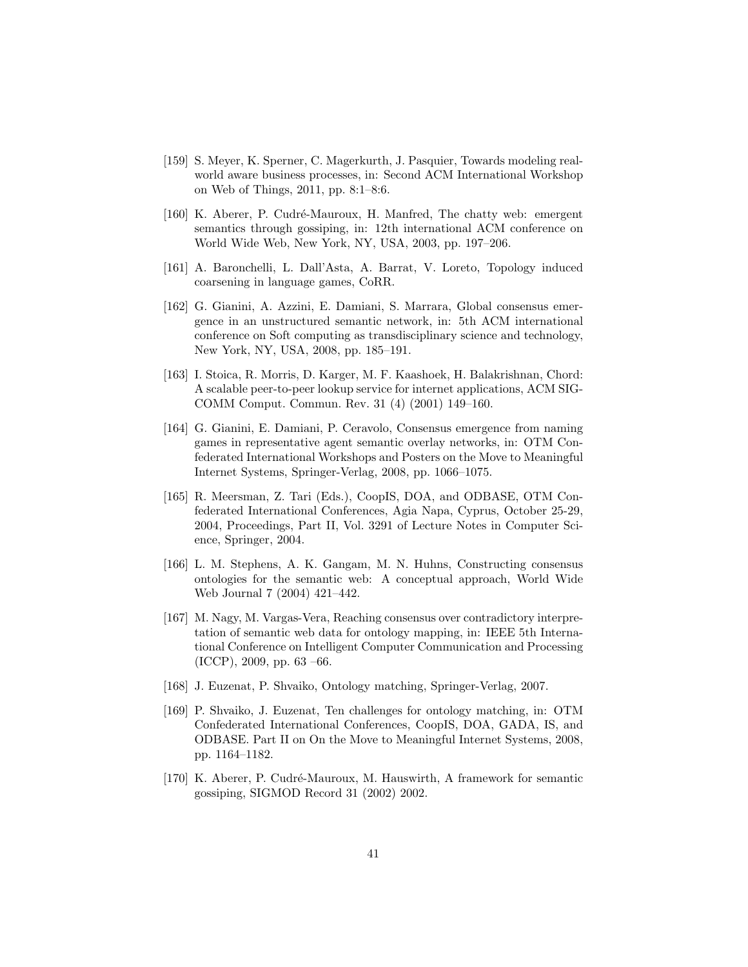- [159] S. Meyer, K. Sperner, C. Magerkurth, J. Pasquier, Towards modeling realworld aware business processes, in: Second ACM International Workshop on Web of Things, 2011, pp. 8:1–8:6.
- [160] K. Aberer, P. Cudré-Mauroux, H. Manfred, The chatty web: emergent semantics through gossiping, in: 12th international ACM conference on World Wide Web, New York, NY, USA, 2003, pp. 197–206.
- [161] A. Baronchelli, L. Dall'Asta, A. Barrat, V. Loreto, Topology induced coarsening in language games, CoRR.
- [162] G. Gianini, A. Azzini, E. Damiani, S. Marrara, Global consensus emergence in an unstructured semantic network, in: 5th ACM international conference on Soft computing as transdisciplinary science and technology, New York, NY, USA, 2008, pp. 185–191.
- [163] I. Stoica, R. Morris, D. Karger, M. F. Kaashoek, H. Balakrishnan, Chord: A scalable peer-to-peer lookup service for internet applications, ACM SIG-COMM Comput. Commun. Rev. 31 (4) (2001) 149–160.
- [164] G. Gianini, E. Damiani, P. Ceravolo, Consensus emergence from naming games in representative agent semantic overlay networks, in: OTM Confederated International Workshops and Posters on the Move to Meaningful Internet Systems, Springer-Verlag, 2008, pp. 1066–1075.
- [165] R. Meersman, Z. Tari (Eds.), CoopIS, DOA, and ODBASE, OTM Confederated International Conferences, Agia Napa, Cyprus, October 25-29, 2004, Proceedings, Part II, Vol. 3291 of Lecture Notes in Computer Science, Springer, 2004.
- [166] L. M. Stephens, A. K. Gangam, M. N. Huhns, Constructing consensus ontologies for the semantic web: A conceptual approach, World Wide Web Journal 7 (2004) 421–442.
- [167] M. Nagy, M. Vargas-Vera, Reaching consensus over contradictory interpretation of semantic web data for ontology mapping, in: IEEE 5th International Conference on Intelligent Computer Communication and Processing (ICCP), 2009, pp. 63 –66.
- [168] J. Euzenat, P. Shvaiko, Ontology matching, Springer-Verlag, 2007.
- [169] P. Shvaiko, J. Euzenat, Ten challenges for ontology matching, in: OTM Confederated International Conferences, CoopIS, DOA, GADA, IS, and ODBASE. Part II on On the Move to Meaningful Internet Systems, 2008, pp. 1164–1182.
- [170] K. Aberer, P. Cudré-Mauroux, M. Hauswirth, A framework for semantic gossiping, SIGMOD Record 31 (2002) 2002.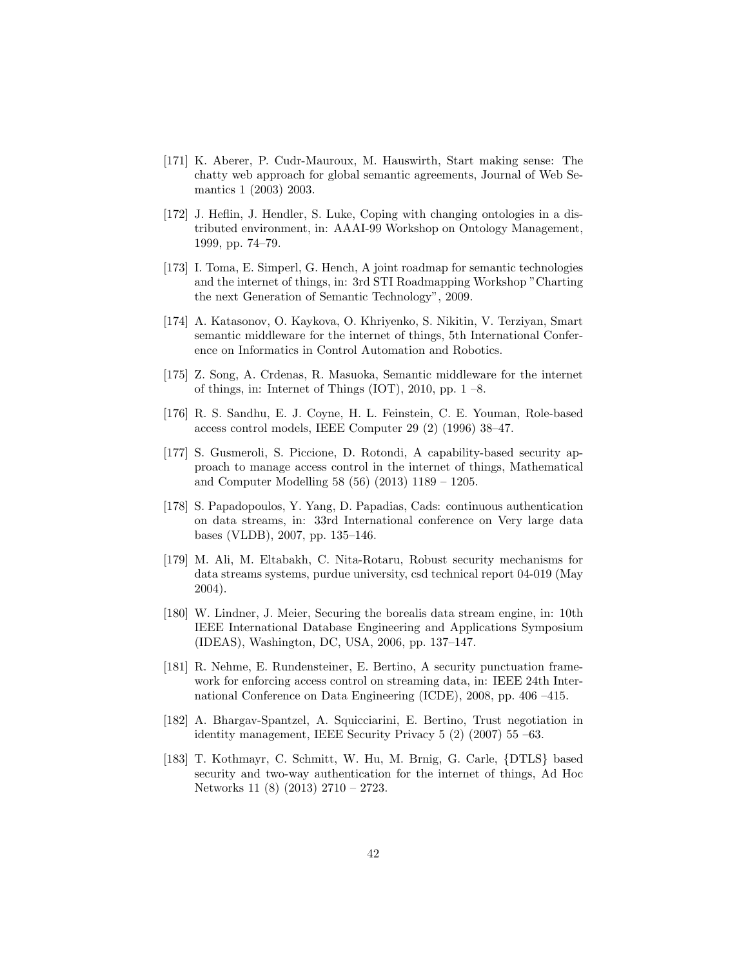- [171] K. Aberer, P. Cudr-Mauroux, M. Hauswirth, Start making sense: The chatty web approach for global semantic agreements, Journal of Web Semantics 1 (2003) 2003.
- [172] J. Heflin, J. Hendler, S. Luke, Coping with changing ontologies in a distributed environment, in: AAAI-99 Workshop on Ontology Management, 1999, pp. 74–79.
- [173] I. Toma, E. Simperl, G. Hench, A joint roadmap for semantic technologies and the internet of things, in: 3rd STI Roadmapping Workshop "Charting the next Generation of Semantic Technology", 2009.
- [174] A. Katasonov, O. Kaykova, O. Khriyenko, S. Nikitin, V. Terziyan, Smart semantic middleware for the internet of things, 5th International Conference on Informatics in Control Automation and Robotics.
- [175] Z. Song, A. Crdenas, R. Masuoka, Semantic middleware for the internet of things, in: Internet of Things (IOT), 2010, pp.  $1 - 8$ .
- [176] R. S. Sandhu, E. J. Coyne, H. L. Feinstein, C. E. Youman, Role-based access control models, IEEE Computer 29 (2) (1996) 38–47.
- [177] S. Gusmeroli, S. Piccione, D. Rotondi, A capability-based security approach to manage access control in the internet of things, Mathematical and Computer Modelling 58 (56) (2013) 1189 – 1205.
- [178] S. Papadopoulos, Y. Yang, D. Papadias, Cads: continuous authentication on data streams, in: 33rd International conference on Very large data bases (VLDB), 2007, pp. 135–146.
- [179] M. Ali, M. Eltabakh, C. Nita-Rotaru, Robust security mechanisms for data streams systems, purdue university, csd technical report 04-019 (May 2004).
- [180] W. Lindner, J. Meier, Securing the borealis data stream engine, in: 10th IEEE International Database Engineering and Applications Symposium (IDEAS), Washington, DC, USA, 2006, pp. 137–147.
- [181] R. Nehme, E. Rundensteiner, E. Bertino, A security punctuation framework for enforcing access control on streaming data, in: IEEE 24th International Conference on Data Engineering (ICDE), 2008, pp. 406 –415.
- [182] A. Bhargav-Spantzel, A. Squicciarini, E. Bertino, Trust negotiation in identity management, IEEE Security Privacy 5 (2) (2007) 55 –63.
- [183] T. Kothmayr, C. Schmitt, W. Hu, M. Brnig, G. Carle, {DTLS} based security and two-way authentication for the internet of things, Ad Hoc Networks 11 (8) (2013) 2710 – 2723.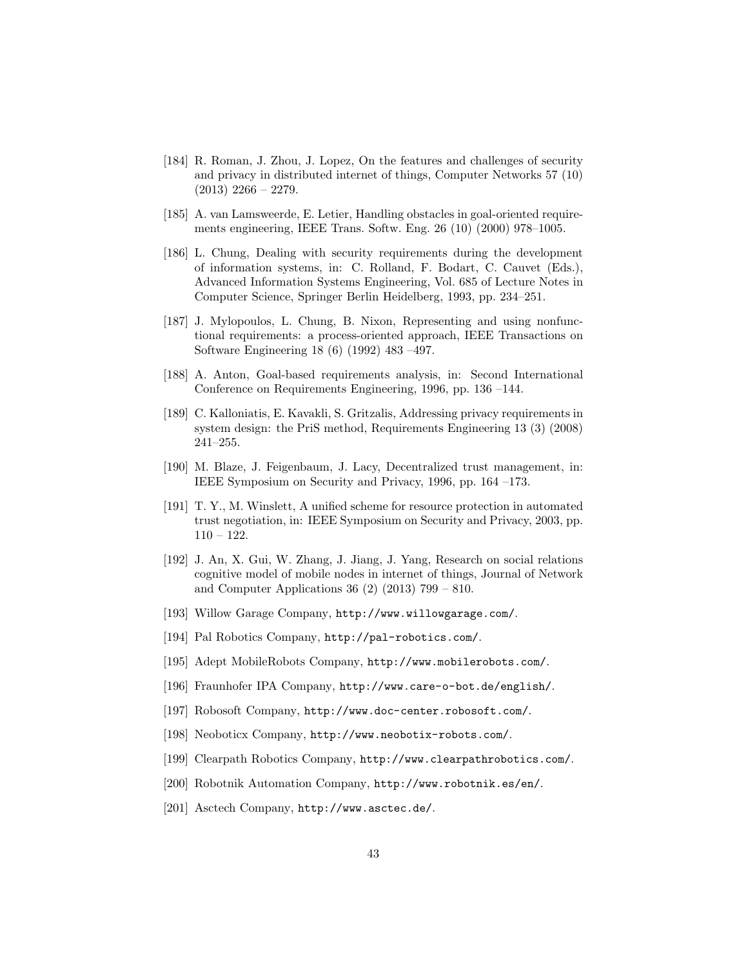- [184] R. Roman, J. Zhou, J. Lopez, On the features and challenges of security and privacy in distributed internet of things, Computer Networks 57 (10)  $(2013)$  2266 – 2279.
- [185] A. van Lamsweerde, E. Letier, Handling obstacles in goal-oriented requirements engineering, IEEE Trans. Softw. Eng. 26 (10) (2000) 978–1005.
- [186] L. Chung, Dealing with security requirements during the development of information systems, in: C. Rolland, F. Bodart, C. Cauvet (Eds.), Advanced Information Systems Engineering, Vol. 685 of Lecture Notes in Computer Science, Springer Berlin Heidelberg, 1993, pp. 234–251.
- [187] J. Mylopoulos, L. Chung, B. Nixon, Representing and using nonfunctional requirements: a process-oriented approach, IEEE Transactions on Software Engineering 18 (6) (1992) 483 –497.
- [188] A. Anton, Goal-based requirements analysis, in: Second International Conference on Requirements Engineering, 1996, pp. 136 –144.
- [189] C. Kalloniatis, E. Kavakli, S. Gritzalis, Addressing privacy requirements in system design: the PriS method, Requirements Engineering 13 (3) (2008) 241–255.
- [190] M. Blaze, J. Feigenbaum, J. Lacy, Decentralized trust management, in: IEEE Symposium on Security and Privacy, 1996, pp. 164 –173.
- [191] T. Y., M. Winslett, A unified scheme for resource protection in automated trust negotiation, in: IEEE Symposium on Security and Privacy, 2003, pp. 110 – 122.
- [192] J. An, X. Gui, W. Zhang, J. Jiang, J. Yang, Research on social relations cognitive model of mobile nodes in internet of things, Journal of Network and Computer Applications 36 (2) (2013) 799 – 810.
- [193] Willow Garage Company, http://www.willowgarage.com/.
- [194] Pal Robotics Company, http://pal-robotics.com/.
- [195] Adept MobileRobots Company, http://www.mobilerobots.com/.
- [196] Fraunhofer IPA Company, http://www.care-o-bot.de/english/.
- [197] Robosoft Company, http://www.doc-center.robosoft.com/.
- [198] Neoboticx Company, http://www.neobotix-robots.com/.
- [199] Clearpath Robotics Company, http://www.clearpathrobotics.com/.
- [200] Robotnik Automation Company, http://www.robotnik.es/en/.
- [201] Asctech Company, http://www.asctec.de/.